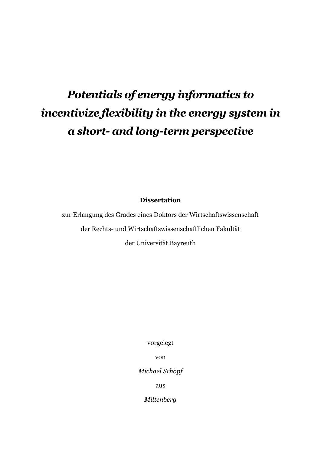# *Potentials of energy informatics to incentivize flexibility in the energy system in a short- and long-term perspective*

**Dissertation**

zur Erlangung des Grades eines Doktors der Wirtschaftswissenschaft der Rechts- und Wirtschaftswissenschaftlichen Fakultät

der Universität Bayreuth

vorgelegt

von

*Michael Schöpf*

aus

*Miltenberg*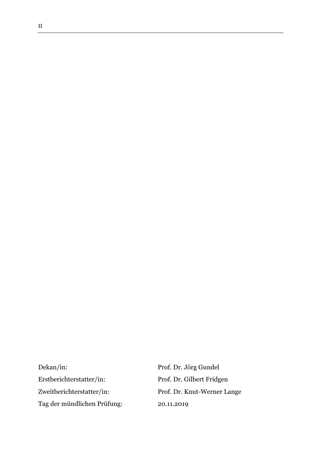Dekan/in: Prof. Dr. Jörg Gundel Erstberichterstatter/in: Prof. Dr. Gilbert Fridgen Zweitberichterstatter/in: Prof. Dr. Knut-Werner Lange Tag der mündlichen Prüfung: 20.11.2019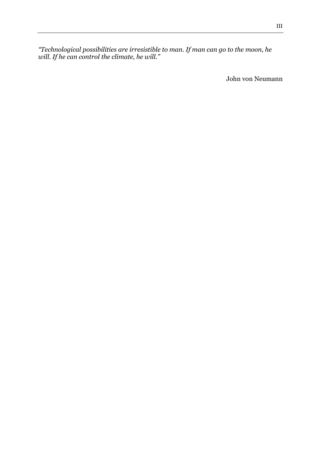*"Technological possibilities are irresistible to man. If man can go to the moon, he will. If he can control the climate, he will."* 

John von Neumann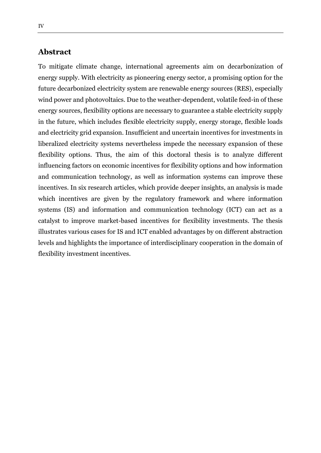## **Abstract**

To mitigate climate change, international agreements aim on decarbonization of energy supply. With electricity as pioneering energy sector, a promising option for the future decarbonized electricity system are renewable energy sources (RES), especially wind power and photovoltaics. Due to the weather-dependent, volatile feed-in of these energy sources, flexibility options are necessary to guarantee a stable electricity supply in the future, which includes flexible electricity supply, energy storage, flexible loads and electricity grid expansion. Insufficient and uncertain incentives for investments in liberalized electricity systems nevertheless impede the necessary expansion of these flexibility options. Thus, the aim of this doctoral thesis is to analyze different influencing factors on economic incentives for flexibility options and how information and communication technology, as well as information systems can improve these incentives. In six research articles, which provide deeper insights, an analysis is made which incentives are given by the regulatory framework and where information systems (IS) and information and communication technology (ICT) can act as a catalyst to improve market-based incentives for flexibility investments. The thesis illustrates various cases for IS and ICT enabled advantages by on different abstraction levels and highlights the importance of interdisciplinary cooperation in the domain of flexibility investment incentives.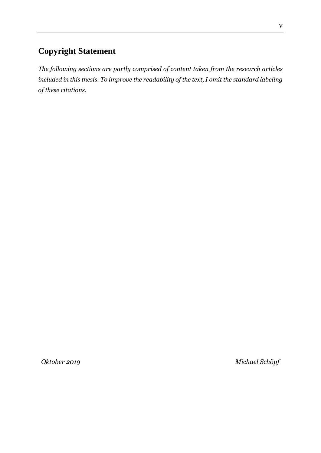# **Copyright Statement**

*The following sections are partly comprised of content taken from the research articles included in this thesis. To improve the readability of the text, I omit the standard labeling of these citations.*

*Oktober 2019 Michael Schöpf*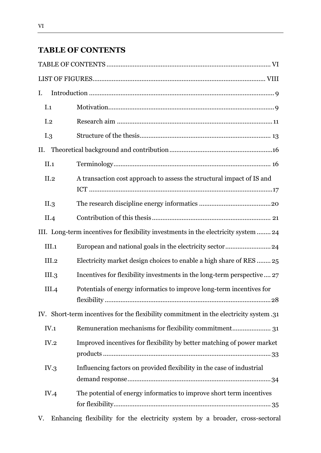# <span id="page-5-0"></span>**TABLE OF CONTENTS**

| I.                                                                                      |                                                                                           |  |
|-----------------------------------------------------------------------------------------|-------------------------------------------------------------------------------------------|--|
| I.1                                                                                     |                                                                                           |  |
| I <sub>.2</sub>                                                                         |                                                                                           |  |
| I.3                                                                                     |                                                                                           |  |
| П.                                                                                      |                                                                                           |  |
| II.1                                                                                    |                                                                                           |  |
| II.2                                                                                    | A transaction cost approach to assess the structural impact of IS and                     |  |
| II.3                                                                                    |                                                                                           |  |
| II.4                                                                                    |                                                                                           |  |
| III. Long-term incentives for flexibility investments in the electricity system  24     |                                                                                           |  |
| III.1                                                                                   |                                                                                           |  |
| III.2                                                                                   | Electricity market design choices to enable a high share of RES  25                       |  |
| III.3                                                                                   | Incentives for flexibility investments in the long-term perspective 27                    |  |
| III.4                                                                                   | Potentials of energy informatics to improve long-term incentives for<br>flexibility<br>28 |  |
| 11. IV. Short-term incentives for the flexibility commitment in the electricity system. |                                                                                           |  |
| IV.1                                                                                    | Remuneration mechanisms for flexibility commitment 31                                     |  |
| IV.2                                                                                    | Improved incentives for flexibility by better matching of power market                    |  |
| IV.3                                                                                    | Influencing factors on provided flexibility in the case of industrial                     |  |
| IV.4                                                                                    | The potential of energy informatics to improve short term incentives                      |  |
| V.                                                                                      | Enhancing flexibility for the electricity system by a broader, cross-sectoral             |  |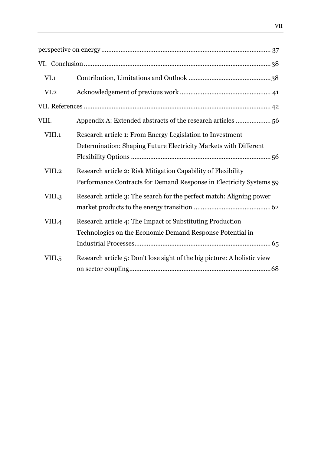| VI.1             |                                                                                                                                      |
|------------------|--------------------------------------------------------------------------------------------------------------------------------------|
| VI <sub>.2</sub> |                                                                                                                                      |
|                  |                                                                                                                                      |
| VIII.            | Appendix A: Extended abstracts of the research articles  56                                                                          |
| VIII.1           | Research article 1: From Energy Legislation to Investment<br>Determination: Shaping Future Electricity Markets with Different        |
| VIII.2           | Research article 2: Risk Mitigation Capability of Flexibility<br>Performance Contracts for Demand Response in Electricity Systems 59 |
| VIII.3           | Research article 3: The search for the perfect match: Aligning power                                                                 |
| VIII.4           | Research article 4: The Impact of Substituting Production<br>Technologies on the Economic Demand Response Potential in               |
| VIII.5           | Research article 5: Don't lose sight of the big picture: A holistic view                                                             |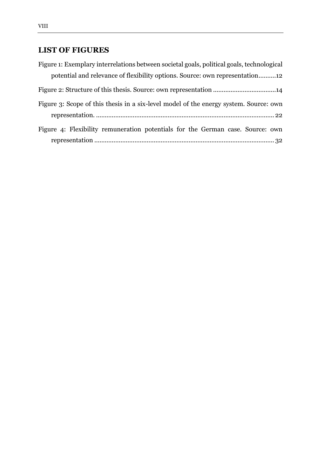# <span id="page-7-0"></span>**LIST OF FIGURES**

| Figure 1: Exemplary interrelations between societal goals, political goals, technological |  |
|-------------------------------------------------------------------------------------------|--|
| potential and relevance of flexibility options. Source: own representation12              |  |
|                                                                                           |  |
| Figure 3: Scope of this thesis in a six-level model of the energy system. Source: own     |  |
|                                                                                           |  |
| Figure 4: Flexibility remuneration potentials for the German case. Source: own            |  |
|                                                                                           |  |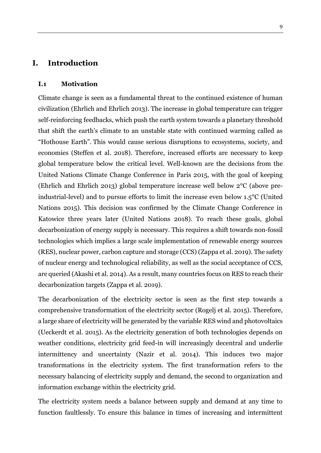## <span id="page-8-0"></span>**I. Introduction**

#### <span id="page-8-1"></span>**I.1 Motivation**

Climate change is seen as a fundamental threat to the continued existence of human civilization (Ehrlich and Ehrlich 2013). The increase in global temperature can trigger self-reinforcing feedbacks, which push the earth system towards a planetary threshold that shift the earth's climate to an unstable state with continued warming called as "Hothouse Earth". This would cause serious disruptions to ecosystems, society, and economies (Steffen et al. 2018). Therefore, increased efforts are necessary to keep global temperature below the critical level. Well-known are the decisions from the United Nations Climate Change Conference in Paris 2015, with the goal of keeping (Ehrlich and Ehrlich 2013) global temperature increase well below 2°C (above preindustrial-level) and to pursue efforts to limit the increase even below 1.5°C (United Nations 2015). This decision was confirmed by the Climate Change Conference in Katowice three years later (United Nations 2018). To reach these goals, global decarbonization of energy supply is necessary. This requires a shift towards non-fossil technologies which implies a large scale implementation of renewable energy sources (RES), nuclear power, carbon capture and storage (CCS) (Zappa et al. 2019). The safety of nuclear energy and technological reliability, as well as the social acceptance of CCS, are queried (Akashi et al. 2014). As a result, many countries focus on RES to reach their decarbonization targets (Zappa et al. 2019).

The decarbonization of the electricity sector is seen as the first step towards a comprehensive transformation of the electricity sector (Rogelj et al. 2015). Therefore, a large share of electricity will be generated by the variable RES wind and photovoltaics (Ueckerdt et al. 2015). As the electricity generation of both technologies depends on weather conditions, electricity grid feed-in will increasingly decentral and underlie intermittency and uncertainty (Nazir et al. 2014). This induces two major transformations in the electricity system. The first transformation refers to the necessary balancing of electricity supply and demand, the second to organization and information exchange within the electricity grid.

The electricity system needs a balance between supply and demand at any time to function faultlessly. To ensure this balance in times of increasing and intermittent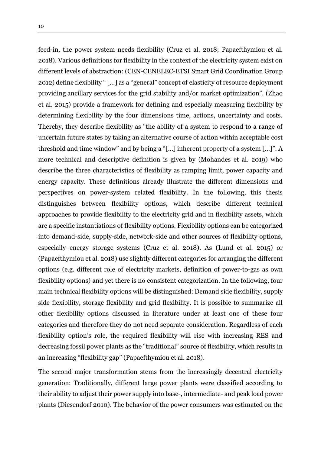feed-in, the power system needs flexibility (Cruz et al. 2018; Papaefthymiou et al. 2018). Various definitions for flexibility in the context of the electricity system exist on different levels of abstraction: (CEN-CENELEC-ETSI Smart Grid Coordination Group 2012) define flexibility " […] as a "general" concept of [elasticity](https://www.sciencedirect.com/topics/mathematics/elasticities) of resource deployment providing [ancillary services](https://www.sciencedirect.com/topics/engineering/ancillary-service) for the grid stability and/or market optimization". (Zhao et al. 2015) provide a framework for defining and especially measuring flexibility by determining flexibility by the four dimensions time, actions, uncertainty and costs. Thereby, they describe flexibility as "the ability of a system to respond to a range of uncertain future states by taking an alternative course of action within acceptable cost threshold and time window" and by being a "[…] inherent property of a system […]". A more technical and descriptive definition is given by (Mohandes et al. 2019) who describe the three characteristics of flexibility as ramping limit, power capacity and energy capacity. These definitions already illustrate the different dimensions and perspectives on power-system related flexibility. In the following, this thesis distinguishes between flexibility options, which describe different technical approaches to provide flexibility to the electricity grid and in flexibility assets, which are a specific instantiations of flexibility options. Flexibility options can be categorized into demand-side, supply-side, network-side and other sources of flexibility options, especially energy storage systems (Cruz et al. 2018). As (Lund et al. 2015) or (Papaefthymiou et al. 2018) use slightly different categories for arranging the different options (e.g. different role of electricity markets, definition of power-to-gas as own flexibility options) and yet there is no consistent categorization. In the following, four main technical flexibility options will be distinguished: Demand side flexibility, supply side flexibility, storage flexibility and grid flexibility. It is possible to summarize all other flexibility options discussed in literature under at least one of these four categories and therefore they do not need separate consideration. Regardless of each flexibility option's role, the required flexibility will rise with increasing RES and decreasing fossil power plants as the "traditional" source of flexibility, which results in an increasing "flexibility gap" (Papaefthymiou et al. 2018).

The second major transformation stems from the increasingly decentral electricity generation: Traditionally, different large power plants were classified according to their ability to adjust their power supply into base-, intermediate- and peak load power plants (Diesendorf 2010). The behavior of the power consumers was estimated on the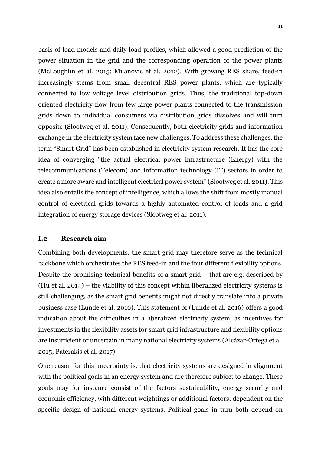basis of load models and daily load profiles, which allowed a good prediction of the power situation in the grid and the corresponding operation of the power plants (McLoughlin et al. 2015; Milanovic et al. 2012). With growing RES share, feed-in increasingly stems from small decentral RES power plants, which are typically connected to low voltage level distribution grids. Thus, the traditional top-down oriented electricity flow from few large power plants connected to the transmission grids down to individual consumers via distribution grids dissolves and will turn opposite (Slootweg et al. 2011). Consequently, both electricity grids and information exchange in the electricity system face new challenges. To address these challenges, the term "Smart Grid" has been established in electricity system research. It has the core idea of converging "the actual electrical power infrastructure (Energy) with the telecommunications (Telecom) and information technology (IT) sectors in order to create a more aware and intelligent electrical power system" (Slootweg et al. 2011). This idea also entails the concept of intelligence, which allows the shift from mostly manual control of electrical grids towards a highly automated control of loads and a grid integration of energy storage devices (Slootweg et al. 2011).

#### <span id="page-10-0"></span>**I.2 Research aim**

Combining both developments, the smart grid may therefore serve as the technical backbone which orchestrates the RES feed-in and the four different flexibility options. Despite the promising technical benefits of a smart grid – that are e.g. described by (Hu et al. 2014) – the viability of this concept within liberalized electricity systems is still challenging, as the smart grid benefits might not directly translate into a private business case (Lunde et al. 2016). This statement of (Lunde et al. 2016) offers a good indication about the difficulties in a liberalized electricity system, as incentives for investments in the flexibility assets for smart grid infrastructure and flexibility options are insufficient or uncertain in many national electricity systems (Alcázar-Ortega et al. 2015; Paterakis et al. 2017).

One reason for this uncertainty is, that electricity systems are designed in alignment with the political goals in an energy system and are therefore subject to change. These goals may for instance consist of the factors sustainability, energy security and economic efficiency, with different weightings or additional factors, dependent on the specific design of national energy systems. Political goals in turn both depend on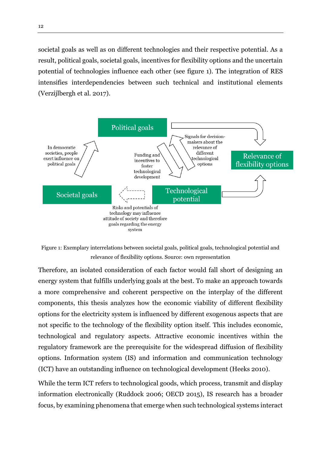societal goals as well as on different technologies and their respective potential. As a result, political goals, societal goals, incentives for flexibility options and the uncertain potential of technologies influence each other (see figure 1). The integration of RES intensifies interdependencies between such technical and institutional elements (Verzijlbergh et al. 2017).



<span id="page-11-0"></span>Figure 1: Exemplary interrelations between societal goals, political goals, technological potential and relevance of flexibility options. Source: own representation

Therefore, an isolated consideration of each factor would fall short of designing an energy system that fulfills underlying goals at the best. To make an approach towards a more comprehensive and coherent perspective on the interplay of the different components, this thesis analyzes how the economic viability of different flexibility options for the electricity system is influenced by different exogenous aspects that are not specific to the technology of the flexibility option itself. This includes economic, technological and regulatory aspects. Attractive economic incentives within the regulatory framework are the prerequisite for the widespread diffusion of flexibility options. Information system (IS) and information and communication technology (ICT) have an outstanding influence on technological development (Heeks 2010).

While the term ICT refers to technological goods, which process, transmit and display information electronically (Ruddock 2006; OECD 2015), IS research has a broader focus, by examining phenomena that emerge when such technological systems interact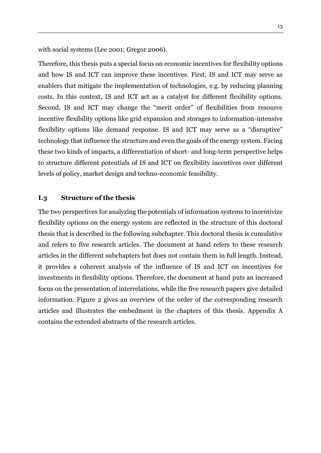with social systems (Lee 2001; Gregor 2006).

Therefore, this thesis puts a special focus on economic incentives for flexibility options and how IS and ICT can improve these incentives. First, IS and ICT may serve as enablers that mitigate the implementation of technologies, e.g. by reducing planning costs. In this context, IS and ICT act as a catalyst for different flexibility options. Second, IS and ICT may change the "merit order" of flexibilities from resource incentive flexibility options like grid expansion and storages to information-intensive flexibility options like demand response. IS and ICT may serve as a "disruptive" technology that influence the structure and even the goals of the energy system. Facing these two kinds of impacts, a differentiation of short- and long-term perspective helps to structure different potentials of IS and ICT on flexibility incentives over different levels of policy, market design and techno-economic feasibility.

#### <span id="page-12-0"></span>**I.3 Structure of the thesis**

The two perspectives for analyzing the potentials of information systems to incentivize flexibility options on the energy system are reflected in the structure of this doctoral thesis that is described in the following subchapter. This doctoral thesis is cumulative and refers to five research articles. The document at hand refers to these research articles in the different subchapters but does not contain them in full length. Instead, it provides a coherent analysis of the influence of IS and ICT on incentives for investments in flexibility options. Therefore, the document at hand puts an increased focus on the presentation of interrelations, while the five research papers give detailed information. Figure 2 gives an overview of the order of the corresponding research articles and illustrates the embedment in the chapters of this thesis. Appendix A contains the extended abstracts of the research articles.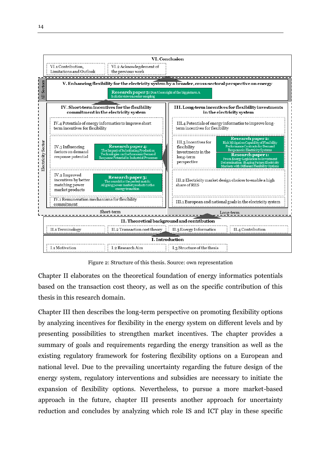![](_page_13_Figure_0.jpeg)

Figure 2: Structure of this thesis. Source: own representation

<span id="page-13-0"></span>Chapter II elaborates on the theoretical foundation of energy informatics potentials based on the transaction cost theory, as well as on the specific contribution of this thesis in this research domain.

Chapter III then describes the long-term perspective on promoting flexibility options by analyzing incentives for flexibility in the energy system on different levels and by presenting possibilities to strengthen market incentives. The chapter provides a summary of goals and requirements regarding the energy transition as well as the existing regulatory framework for fostering flexibility options on a European and national level. Due to the prevailing uncertainty regarding the future design of the energy system, regulatory interventions and subsidies are necessary to initiate the expansion of flexibility options. Nevertheless, to pursue a more market-based approach in the future, chapter III presents another approach for uncertainty reduction and concludes by analyzing which role IS and ICT play in these specific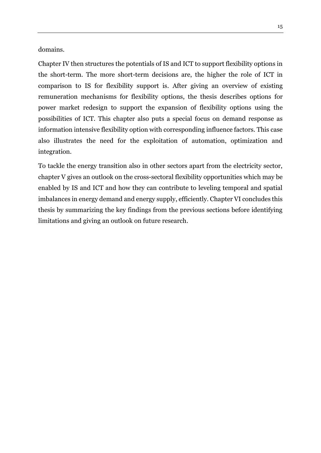domains.

Chapter IV then structures the potentials of IS and ICT to support flexibility options in the short-term. The more short-term decisions are, the higher the role of ICT in comparison to IS for flexibility support is. After giving an overview of existing remuneration mechanisms for flexibility options, the thesis describes options for power market redesign to support the expansion of flexibility options using the possibilities of ICT. This chapter also puts a special focus on demand response as information intensive flexibility option with corresponding influence factors. This case also illustrates the need for the exploitation of automation, optimization and integration.

To tackle the energy transition also in other sectors apart from the electricity sector, chapter V gives an outlook on the cross-sectoral flexibility opportunities which may be enabled by IS and ICT and how they can contribute to leveling temporal and spatial imbalances in energy demand and energy supply, efficiently. Chapter VI concludes this thesis by summarizing the key findings from the previous sections before identifying limitations and giving an outlook on future research.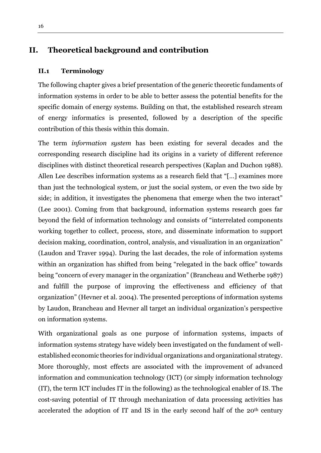## <span id="page-15-0"></span>**II. Theoretical background and contribution**

#### <span id="page-15-1"></span>**II.1 Terminology**

The following chapter gives a brief presentation of the generic theoretic fundaments of information systems in order to be able to better assess the potential benefits for the specific domain of energy systems. Building on that, the established research stream of energy informatics is presented, followed by a description of the specific contribution of this thesis within this domain.

The term *information system* has been existing for several decades and the corresponding research discipline had its origins in a variety of different reference disciplines with distinct theoretical research perspectives (Kaplan and Duchon 1988). Allen Lee describes information systems as a research field that "[…] examines more than just the technological system, or just the social system, or even the two side by side; in addition, it investigates the phenomena that emerge when the two interact" (Lee 2001). Coming from that background, information systems research goes far beyond the field of information technology and consists of "interrelated components working together to collect, process, store, and disseminate information to support decision making, coordination, control, analysis, and visualization in an organization" (Laudon and Traver 1994). During the last decades, the role of information systems within an organization has shifted from being "relegated in the back office" towards being "concern of every manager in the organization" (Brancheau and Wetherbe 1987) and fulfill the purpose of improving the effectiveness and efficiency of that organization" (Hevner et al. 2004). The presented perceptions of information systems by Laudon, Brancheau and Hevner all target an individual organization's perspective on information systems.

With organizational goals as one purpose of information systems, impacts of information systems strategy have widely been investigated on the fundament of wellestablished economic theories for individual organizations and organizational strategy. More thoroughly, most effects are associated with the improvement of advanced information and communication technology (ICT) (or simply information technology (IT), the term ICT includes IT in the following) as the technological enabler of IS. The cost-saving potential of IT through mechanization of data processing activities has accelerated the adoption of IT and IS in the early second half of the 20<sup>th</sup> century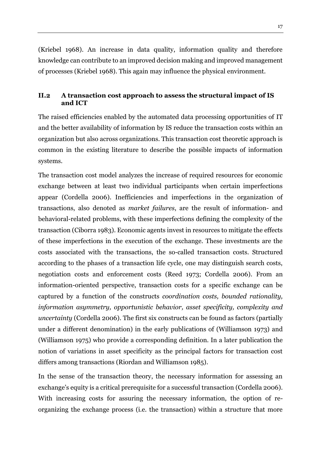(Kriebel 1968). An increase in data quality, information quality and therefore knowledge can contribute to an improved decision making and improved management of processes (Kriebel 1968). This again may influence the physical environment.

## <span id="page-16-0"></span>**II.2 A transaction cost approach to assess the structural impact of IS and ICT**

The raised efficiencies enabled by the automated data processing opportunities of IT and the better availability of information by IS reduce the transaction costs within an organization but also across organizations. This transaction cost theoretic approach is common in the existing literature to describe the possible impacts of information systems.

The transaction cost model analyzes the increase of required resources for economic exchange between at least two individual participants when certain imperfections appear (Cordella 2006). Inefficiencies and imperfections in the organization of transactions, also denoted as *market failures*, are the result of information- and behavioral-related problems, with these imperfections defining the complexity of the transaction (Ciborra 1983). Economic agents invest in resources to mitigate the effects of these imperfections in the execution of the exchange. These investments are the costs associated with the transactions, the so-called transaction costs. Structured according to the phases of a transaction life cycle, one may distinguish search costs, negotiation costs and enforcement costs (Reed 1973; Cordella 2006). From an information-oriented perspective, transaction costs for a specific exchange can be captured by a function of the constructs *coordination costs, bounded rationality, information asymmetry, opportunistic behavior, asset specificity, complexity and uncertainty* (Cordella 2006). The first six constructs can be found as factors (partially under a different denomination) in the early publications of (Williamson 1973) and (Williamson 1975) who provide a corresponding definition. In a later publication the notion of variations in asset specificity as the principal factors for transaction cost differs among transactions (Riordan and Williamson 1985).

In the sense of the transaction theory, the necessary information for assessing an exchange's equity is a critical prerequisite for a successful transaction (Cordella 2006). With increasing costs for assuring the necessary information, the option of reorganizing the exchange process (i.e. the transaction) within a structure that more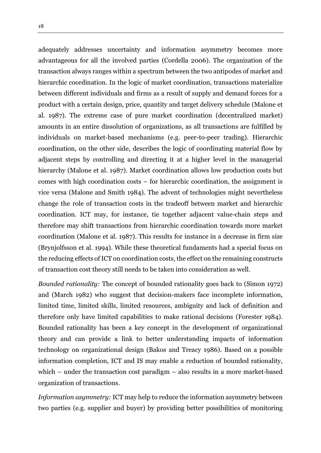adequately addresses uncertainty and information asymmetry becomes more advantageous for all the involved parties (Cordella 2006). The organization of the transaction always ranges within a spectrum between the two antipodes of market and hierarchic coordination. In the logic of market coordination, transactions materialize between different individuals and firms as a result of supply and demand forces for a product with a certain design, price, quantity and target delivery schedule (Malone et al. 1987). The extreme case of pure market coordination (decentralized market) amounts in an entire dissolution of organizations, as all transactions are fulfilled by individuals on market-based mechanisms (e.g. peer-to-peer trading). Hierarchic coordination, on the other side, describes the logic of coordinating material flow by adjacent steps by controlling and directing it at a higher level in the managerial hierarchy (Malone et al. 1987). Market coordination allows low production costs but comes with high coordination costs – for hierarchic coordination, the assignment is vice versa (Malone and Smith 1984). The advent of technologies might nevertheless change the role of transaction costs in the tradeoff between market and hierarchic coordination. ICT may, for instance, tie together adjacent value-chain steps and therefore may shift transactions from hierarchic coordination towards more market coordination (Malone et al. 1987). This results for instance in a decrease in firm size (Brynjolfsson et al. 1994). While these theoretical fundaments had a special focus on the reducing effects of ICT on coordination costs, the effect on the remaining constructs of transaction cost theory still needs to be taken into consideration as well.

*Bounded rationality:* The concept of bounded rationality goes back to (Simon 1972) and (March 1982) who suggest that decision-makers face incomplete information, limited time, limited skills, limited resources, ambiguity and lack of definition and therefore only have limited capabilities to make rational decisions (Forester 1984). Bounded rationality has been a key concept in the development 0f organizational theory and can provide a link to better understanding impacts of information technology on organizational design (Bakos and Treacy 1986). Based on a possible information completion, ICT and IS may enable a reduction of bounded rationality, which – under the transaction cost paradigm – also results in a more market-based organization of transactions.

*Information asymmetry:* ICT may help to reduce the information asymmetry between two parties (e.g. supplier and buyer) by providing better possibilities of monitoring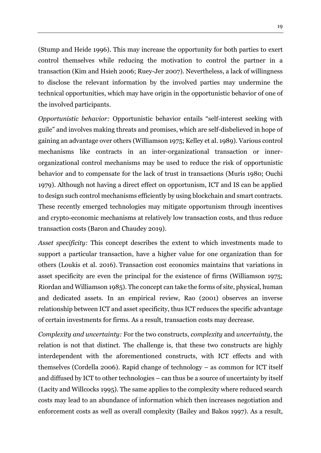(Stump and Heide 1996). This may increase the opportunity for both parties to exert control themselves while reducing the motivation to control the partner in a transaction (Kim and Hsieh 2006; Ruey-Jer 2007). Nevertheless, a lack of willingness to disclose the relevant information by the involved parties may undermine the technical opportunities, which may have origin in the opportunistic behavior of one of the involved participants.

*Opportunistic behavior:* Opportunistic behavior entails "self-interest seeking with guile" and involves making threats and promises, which are self-disbelieved in hope of gaining an advantage over others (Williamson 1975; Kelley et al. 1989)*.* Various control mechanisms like contracts in an inter-organizational transaction or innerorganizational control mechanisms may be used to reduce the risk of opportunistic behavior and to compensate for the lack of trust in transactions (Muris 1980; Ouchi 1979). Although not having a direct effect on opportunism, ICT and IS can be applied to design such control mechanisms efficiently by using blockchain and smart contracts. These recently emerged technologies may mitigate opportunism through incentives and crypto-economic mechanisms at relatively low transaction costs, and thus reduce transaction costs (Baron and Chaudey 2019).

*Asset specificity:* This concept describes the extent to which investments made to support a particular transaction, have a higher value for one organization than for others (Loukis et al. 2016). Transaction cost economics maintains that variations in asset specificity are even the principal for the existence of firms (Williamson 1975; Riordan and Williamson 1985). The concept can take the forms of site, physical, human and dedicated assets. In an empirical review, Rao (2001) observes an inverse relationship between ICT and asset specificity, thus ICT reduces the specific advantage of certain investments for firms. As a result, transaction costs may decrease.

*Complexity and uncertainty:* For the two constructs, *complexity* and *uncertainty*, the relation is not that distinct. The challenge is, that these two constructs are highly interdependent with the aforementioned constructs, with ICT effects and with themselves (Cordella 2006). Rapid change of technology – as common for ICT itself and diffused by ICT to other technologies – can thus be a source of uncertainty by itself (Lacity and Willcocks 1995). The same applies to the complexity where reduced search costs may lead to an abundance of information which then increases negotiation and enforcement costs as well as overall complexity (Bailey and Bakos 1997). As a result,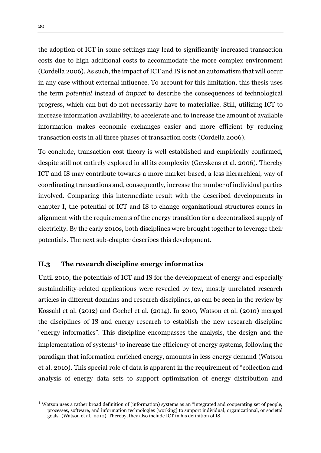the adoption of ICT in some settings may lead to significantly increased transaction costs due to high additional costs to accommodate the more complex environment (Cordella 2006). As such, the impact of ICT and IS is not an automatism that will occur in any case without external influence. To account for this limitation, this thesis uses the term *potential* instead of *impact* to describe the consequences of technological progress, which can but do not necessarily have to materialize. Still, utilizing ICT to increase information availability, to accelerate and to increase the amount of available information makes economic exchanges easier and more efficient by reducing transaction costs in all three phases of transaction costs (Cordella 2006).

To conclude, transaction cost theory is well established and empirically confirmed, despite still not entirely explored in all its complexity (Geyskens et al. 2006). Thereby ICT and IS may contribute towards a more market-based, a less hierarchical, way of coordinating transactions and, consequently, increase the number of individual parties involved. Comparing this intermediate result with the described developments in chapter I, the potential of ICT and IS to change organizational structures comes in alignment with the requirements of the energy transition for a decentralized supply of electricity. By the early 2010s, both disciplines were brought together to leverage their potentials. The next sub-chapter describes this development.

## <span id="page-19-0"></span>**II.3 The research discipline energy informatics**

Until 2010, the potentials of ICT and IS for the development of energy and especially sustainability-related applications were revealed by few, mostly unrelated research articles in different domains and research disciplines, as can be seen in the review by Kossahl et al. (2012) and Goebel et al. (2014). In 2010, Watson et al. (2010) merged the disciplines of IS and energy research to establish the new research discipline "energy informatics". This discipline encompasses the analysis, the design and the implementation of systems<sup>1</sup> to increase the efficiency of energy systems, following the paradigm that information enriched energy, amounts in less energy demand (Watson et al. 2010). This special role of data is apparent in the requirement of "collection and analysis of energy data sets to support optimization of energy distribution and

 $\overline{a}$ 

<sup>1</sup> Watson uses a rather broad definition of (information) systems as an "integrated and cooperating set of people, processes, software, and information technologies [working] to support individual, organizational, or societal goals" (Watson et al., 2010). Thereby, they also include ICT in his definition of IS.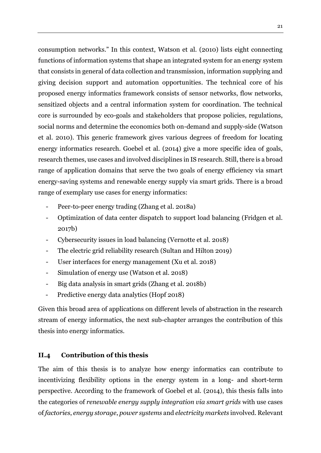consumption networks." In this context, Watson et al. (2010) lists eight connecting functions of information systems that shape an integrated system for an energy system that consists in general of data collection and transmission, information supplying and giving decision support and automation opportunities. The technical core of his proposed energy informatics framework consists of sensor networks, flow networks, sensitized objects and a central information system for coordination. The technical core is surrounded by eco-goals and stakeholders that propose policies, regulations, social norms and determine the economics both on-demand and supply-side (Watson et al. 2010). This generic framework gives various degrees of freedom for locating energy informatics research. Goebel et al. (2014) give a more specific idea of goals, research themes, use cases and involved disciplines in IS research. Still, there is a broad range of application domains that serve the two goals of energy efficiency via smart energy-saving systems and renewable energy supply via smart grids. There is a broad range of exemplary use cases for energy informatics:

- Peer-to-peer energy trading (Zhang et al. 2018a)
- Optimization of data center dispatch to support load balancing (Fridgen et al. 2017b)
- Cybersecurity issues in load balancing (Vernotte et al. 2018)
- The electric grid reliability research (Sultan and Hilton 2019)
- User interfaces for energy management (Xu et al. 2018)
- Simulation of energy use (Watson et al. 2018)
- Big data analysis in smart grids (Zhang et al. 2018b)
- Predictive energy data analytics (Hopf 2018)

Given this broad area of applications on different levels of abstraction in the research stream of energy informatics, the next sub-chapter arranges the contribution of this thesis into energy informatics.

## <span id="page-20-0"></span>**II.4 Contribution of this thesis**

The aim of this thesis is to analyze how energy informatics can contribute to incentivizing flexibility options in the energy system in a long- and short-term perspective. According to the framework of Goebel et al. (2014), this thesis falls into the categories of *renewable energy supply integration via smart grids* with use cases of *factories*, *energy storage*, *power systems* and *electricity markets* involved. Relevant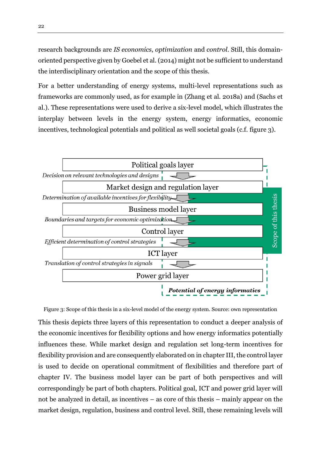research backgrounds are *IS economics*, *optimization* and *control*. Still, this domainoriented perspective given by Goebel et al. (2014) might not be sufficient to understand the interdisciplinary orientation and the scope of this thesis.

For a better understanding of energy systems, multi-level representations such as frameworks are commonly used, as for example in (Zhang et al. 2018a) and (Sachs et al.). These representations were used to derive a six-level model, which illustrates the interplay between levels in the energy system, energy informatics, economic incentives, technological potentials and political as well societal goals (c.f. figure 3).

![](_page_21_Figure_2.jpeg)

<span id="page-21-0"></span>Figure 3: Scope of this thesis in a six-level model of the energy system. Source: own representation This thesis depicts three layers of this representation to conduct a deeper analysis of the economic incentives for flexibility options and how energy informatics potentially influences these. While market design and regulation set long-term incentives for flexibility provision and are consequently elaborated on in chapter III, the control layer is used to decide on operational commitment of flexibilities and therefore part of chapter IV. The business model layer can be part of both perspectives and will correspondingly be part of both chapters. Political goal, ICT and power grid layer will not be analyzed in detail, as incentives – as core of this thesis – mainly appear on the market design, regulation, business and control level. Still, these remaining levels will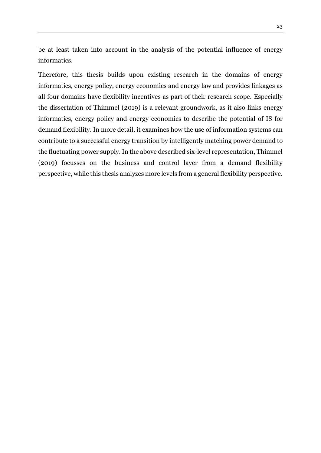be at least taken into account in the analysis of the potential influence of energy informatics.

Therefore, this thesis builds upon existing research in the domains of energy informatics, energy policy, energy economics and energy law and provides linkages as all four domains have flexibility incentives as part of their research scope. Especially the dissertation of Thimmel (2019) is a relevant groundwork, as it also links energy informatics, energy policy and energy economics to describe the potential of IS for demand flexibility. In more detail, it examines how the use of information systems can contribute to a successful energy transition by intelligently matching power demand to the fluctuating power supply. In the above described six-level representation, Thimmel (2019) focusses on the business and control layer from a demand flexibility perspective, while this thesis analyzes more levels from a general flexibility perspective.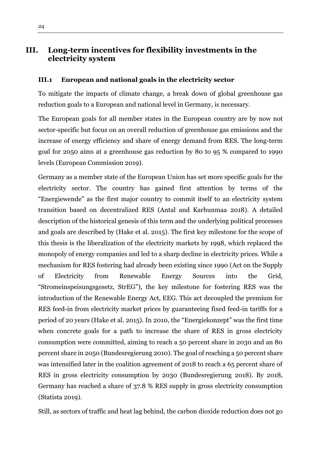# <span id="page-23-0"></span>**III. Long-term incentives for flexibility investments in the electricity system**

#### <span id="page-23-1"></span>**III.1 European and national goals in the electricity sector**

To mitigate the impacts of climate change, a break down of global greenhouse gas reduction goals to a European and national level in Germany, is necessary.

The European goals for all member states in the European country are by now not sector-specific but focus on an overall reduction of greenhouse gas emissions and the increase of energy efficiency and share of energy demand from RES. The long-term goal for 2050 aims at a greenhouse gas reduction by 80 to 95 % compared to 1990 levels (European Commission 2019).

Germany as a member state of the European Union has set more specific goals for the electricity sector. The country has gained first attention by terms of the "Energiewende" as the first major country to commit itself to an electricity system transition based on decentralized RES (Antal and Karhunmaa 2018). A detailed description of the historical genesis of this term and the underlying political processes and goals are described by (Hake et al. 2015). The first key milestone for the scope of this thesis is the liberalization of the electricity markets by 1998, which replaced the monopoly of energy companies and led to a sharp decline in electricity prices. While a mechanism for RES fostering had already been existing since 1990 (Act on the Supply of Electricity from Renewable Energy Sources into the Grid, "Stromeinspeisungsgesetz, StrEG"), the key milestone for fostering RES was the introduction of the Renewable Energy Act, EEG. This act decoupled the premium for RES feed-in from electricity market prices by guaranteeing fixed feed-in tariffs for a period of 20 years (Hake et al. 2015). In 2010, the "Energiekonzept" was the first time when concrete goals for a path to increase the share of RES in gross electricity consumption were committed, aiming to reach a 50 percent share in 2030 and an 80 percent share in 2050 (Bundesregierung 2010). The goal of reaching a 50 percent share was intensified later in the coalition agreement of 2018 to reach a 65 percent share of RES in gross electricity consumption by 2030 (Bundesregierung 2018). By 2018, Germany has reached a share of 37.8 % RES supply in gross electricity consumption (Statista 2019).

Still, as sectors of traffic and heat lag behind, the carbon dioxide reduction does not go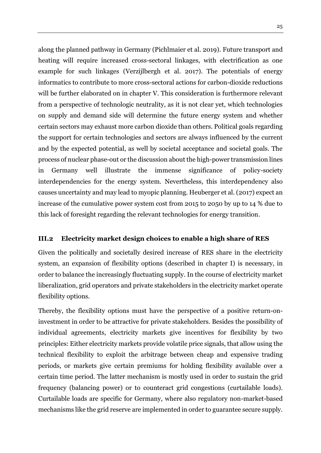along the planned pathway in Germany (Pichlmaier et al. 2019). Future transport and heating will require increased cross-sectoral linkages, with electrification as one example for such linkages (Verzijlbergh et al. 2017). The potentials of energy informatics to contribute to more cross-sectoral actions for carbon-dioxide reductions will be further elaborated on in chapter V. This consideration is furthermore relevant from a perspective of technologic neutrality, as it is not clear yet, which technologies on supply and demand side will determine the future energy system and whether certain sectors may exhaust more carbon dioxide than others. Political goals regarding the support for certain technologies and sectors are always influenced by the current and by the expected potential, as well by societal acceptance and societal goals. The process of nuclear phase-out or the discussion about the high-power transmission lines in Germany well illustrate the immense significance of policy-society interdependencies for the energy system. Nevertheless, this interdependency also causes uncertainty and may lead to myopic planning. Heuberger et al. (2017) expect an increase of the cumulative power system cost from 2015 to 2050 by up to 14 % due to this lack of foresight regarding the relevant technologies for energy transition.

## <span id="page-24-0"></span>**III.2 Electricity market design choices to enable a high share of RES**

Given the politically and societally desired increase of RES share in the electricity system, an expansion of flexibility options (described in chapter I) is necessary, in order to balance the increasingly fluctuating supply. In the course of electricity market liberalization, grid operators and private stakeholders in the electricity market operate flexibility options.

Thereby, the flexibility options must have the perspective of a positive return-oninvestment in order to be attractive for private stakeholders. Besides the possibility of individual agreements, electricity markets give incentives for flexibility by two principles: Either electricity markets provide volatile price signals, that allow using the technical flexibility to exploit the arbitrage between cheap and expensive trading periods, or markets give certain premiums for holding flexibility available over a certain time period. The latter mechanism is mostly used in order to sustain the grid frequency (balancing power) or to counteract grid congestions (curtailable loads). Curtailable loads are specific for Germany, where also regulatory non-market-based mechanisms like the grid reserve are implemented in order to guarantee secure supply.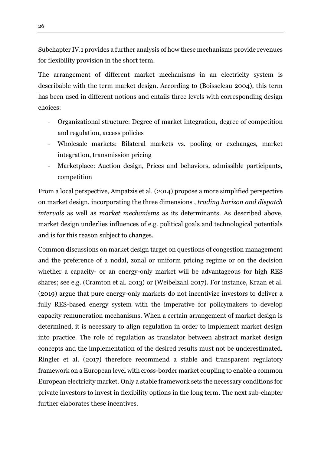Subchapter IV.1 provides a further analysis of how these mechanisms provide revenues for flexibility provision in the short term.

The arrangement of different market mechanisms in an electricity system is describable with the term market design. According to (Boisseleau 2004), this term has been used in different notions and entails three levels with corresponding design choices:

- Organizational structure: Degree of market integration, degree of competition and regulation, access policies
- Wholesale markets: Bilateral markets vs. pooling or exchanges, market integration, transmission pricing
- Marketplace: Auction design, Prices and behaviors, admissible participants, competition

From a local perspective, Ampatzis et al. (2014) propose a more simplified perspective on market design, incorporating the three dimensions , *trading horizon and dispatch intervals* as well as *market mechanisms* as its determinants. As described above, market design underlies influences of e.g. political goals and technological potentials and is for this reason subject to changes.

Common discussions on market design target on questions of congestion management and the preference of a nodal, zonal or uniform pricing regime or on the decision whether a capacity- or an energy-only market will be advantageous for high RES shares; see e.g. (Cramton et al. 2013) or (Weibelzahl 2017). For instance, Kraan et al. (2019) argue that pure energy-only markets do not incentivize investors to deliver a fully RES-based energy system with the imperative for policymakers to develop capacity remuneration mechanisms. When a certain arrangement of market design is determined, it is necessary to align regulation in order to implement market design into practice. The role of regulation as translator between abstract market design concepts and the implementation of the desired results must not be underestimated. Ringler et al. (2017) therefore recommend a stable and transparent regulatory framework on a European level with cross-border market coupling to enable a common European electricity market. Only a stable framework sets the necessary conditions for private investors to invest in flexibility options in the long term. The next sub-chapter further elaborates these incentives.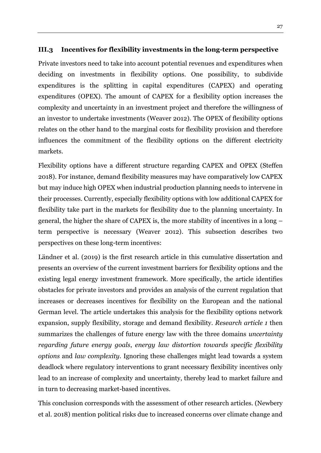## <span id="page-26-0"></span>**III.3 Incentives for flexibility investments in the long-term perspective**

Private investors need to take into account potential revenues and expenditures when deciding on investments in flexibility options. One possibility, to subdivide expenditures is the splitting in capital expenditures (CAPEX) and operating expenditures (OPEX). The amount of CAPEX for a flexibility option increases the complexity and uncertainty in an investment project and therefore the willingness of an investor to undertake investments (Weaver 2012). The OPEX of flexibility options relates on the other hand to the marginal costs for flexibility provision and therefore influences the commitment of the flexibility options on the different electricity markets.

Flexibility options have a different structure regarding CAPEX and OPEX (Steffen 2018). For instance, demand flexibility measures may have comparatively low CAPEX but may induce high OPEX when industrial production planning needs to intervene in their processes. Currently, especially flexibility options with low additional CAPEX for flexibility take part in the markets for flexibility due to the planning uncertainty. In general, the higher the share of CAPEX is, the more stability of incentives in a long – term perspective is necessary (Weaver 2012). This subsection describes two perspectives on these long-term incentives:

Ländner et al. (2019) is the first research article in this cumulative dissertation and presents an overview of the current investment barriers for flexibility options and the existing legal energy investment framework. More specifically, the article identifies obstacles for private investors and provides an analysis of the current regulation that increases or decreases incentives for flexibility on the European and the national German level. The article undertakes this analysis for the flexibility options network expansion, supply flexibility, storage and demand flexibility. *Research article 1* then summarizes the challenges of future energy law with the three domains *uncertainty regarding future energy goals*, *energy law distortion towards specific flexibility options* and *law complexity*. Ignoring these challenges might lead towards a system deadlock where regulatory interventions to grant necessary flexibility incentives only lead to an increase of complexity and uncertainty, thereby lead to market failure and in turn to decreasing market-based incentives.

This conclusion corresponds with the assessment of other research articles. (Newbery et al. 2018) mention political risks due to increased concerns over climate change and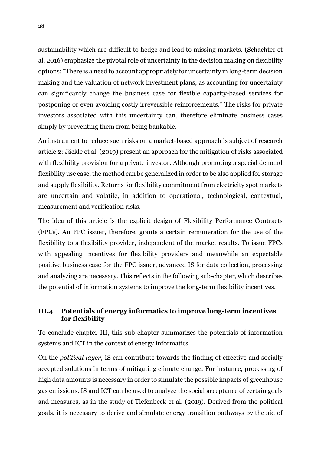sustainability which are difficult to hedge and lead to missing markets. (Schachter et al. 2016) emphasize the pivotal role of uncertainty in the decision making on flexibility options: "There is a need to account appropriately for uncertainty in long-term decision making and the valuation of network investment plans, as accounting for uncertainty can significantly change the business case for flexible capacity-based services for postponing or even avoiding costly irreversible reinforcements." The risks for private investors associated with this uncertainty can, therefore eliminate business cases simply by preventing them from being bankable.

An instrument to reduce such risks on a market-based approach is subject of research article 2: Jäckle et al. (2019) present an approach for the mitigation of risks associated with flexibility provision for a private investor*.* Although promoting a special demand flexibility use case, the method can be generalized in order to be also applied for storage and supply flexibility. Returns for flexibility commitment from electricity spot markets are uncertain and volatile, in addition to operational, technological, contextual, measurement and verification risks.

The idea of this article is the explicit design of Flexibility Performance Contracts (FPCs). An FPC issuer, therefore, grants a certain remuneration for the use of the flexibility to a flexibility provider, independent of the market results. To issue FPCs with appealing incentives for flexibility providers and meanwhile an expectable positive business case for the FPC issuer, advanced IS for data collection, processing and analyzing are necessary. This reflects in the following sub-chapter, which describes the potential of information systems to improve the long-term flexibility incentives.

## <span id="page-27-0"></span>**III.4 Potentials of energy informatics to improve long-term incentives for flexibility**

To conclude chapter III, this sub-chapter summarizes the potentials of information systems and ICT in the context of energy informatics.

On the *political layer*, IS can contribute towards the finding of effective and socially accepted solutions in terms of mitigating climate change. For instance, processing of high data amounts is necessary in order to simulate the possible impacts of greenhouse gas emissions. IS and ICT can be used to analyze the social acceptance of certain goals and measures, as in the study of Tiefenbeck et al. (2019). Derived from the political goals, it is necessary to derive and simulate energy transition pathways by the aid of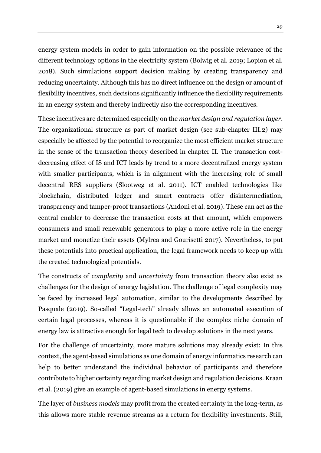energy system models in order to gain information on the possible relevance of the different technology options in the electricity system (Bolwig et al. 2019; Lopion et al. 2018). Such simulations support decision making by creating transparency and reducing uncertainty. Although this has no direct influence on the design or amount of flexibility incentives, such decisions significantly influence the flexibility requirements in an energy system and thereby indirectly also the corresponding incentives.

These incentives are determined especially on the *market design and regulation layer*. The organizational structure as part of market design (see sub-chapter III.2) may especially be affected by the potential to reorganize the most efficient market structure in the sense of the transaction theory described in chapter II. The transaction costdecreasing effect of IS and ICT leads by trend to a more decentralized energy system with smaller participants, which is in alignment with the increasing role of small decentral RES suppliers (Slootweg et al. 2011). ICT enabled technologies like blockchain, distributed ledger and smart contracts offer disintermediation, transparency and tamper-proof transactions (Andoni et al. 2019). These can act as the central enabler to decrease the transaction costs at that amount, which empowers consumers and small renewable generators to play a more active role in the energy market and monetize their assets (Mylrea and Gourisetti 2017). Nevertheless, to put these potentials into practical application, the legal framework needs to keep up with the created technological potentials.

The constructs of *complexity* and *uncertainty* from transaction theory also exist as challenges for the design of energy legislation. The challenge of legal complexity may be faced by increased legal automation, similar to the developments described by Pasquale (2019). So-called "Legal-tech" already allows an automated execution of certain legal processes, whereas it is questionable if the complex niche domain of energy law is attractive enough for legal tech to develop solutions in the next years.

For the challenge of uncertainty, more mature solutions may already exist: In this context, the agent-based simulations as one domain of energy informatics research can help to better understand the individual behavior of participants and therefore contribute to higher certainty regarding market design and regulation decisions. Kraan et al. (2019) give an example of agent-based simulations in energy systems.

The layer of *business models* may profit from the created certainty in the long-term, as this allows more stable revenue streams as a return for flexibility investments. Still,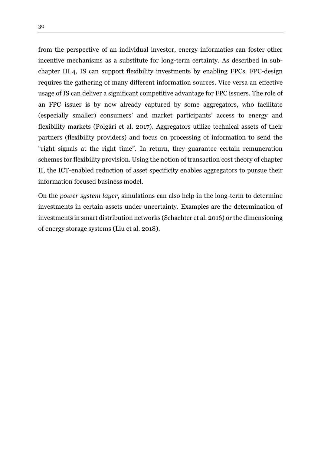from the perspective of an individual investor, energy informatics can foster other incentive mechanisms as a substitute for long-term certainty. As described in subchapter III.4, IS can support flexibility investments by enabling FPCs. FPC-design requires the gathering of many different information sources. Vice versa an effective usage of IS can deliver a significant competitive advantage for FPC issuers. The role of an FPC issuer is by now already captured by some aggregators, who facilitate (especially smaller) consumers' and market participants' access to energy and flexibility markets (Polgári et al. 2017). Aggregators utilize technical assets of their partners (flexibility providers) and focus on processing of information t0 send the "right signals at the right time". In return, they guarantee certain remuneration schemes for flexibility provision. Using the notion of transaction cost theory of chapter II, the ICT-enabled reduction of asset specificity enables aggregators to pursue their information focused business model.

On the *power system layer*, simulations can also help in the long-term to determine investments in certain assets under uncertainty. Examples are the determination of investments in smart distribution networks (Schachter et al. 2016) or the dimensioning of energy storage systems (Liu et al. 2018).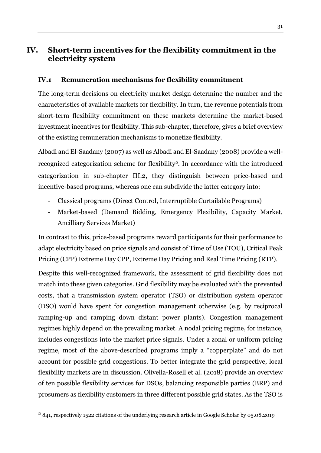# <span id="page-30-0"></span>**IV. Short-term incentives for the flexibility commitment in the electricity system**

## <span id="page-30-1"></span>**IV.1 Remuneration mechanisms for flexibility commitment**

The long-term decisions on electricity market design determine the number and the characteristics of available markets for flexibility. In turn, the revenue potentials from short-term flexibility commitment on these markets determine the market-based investment incentives for flexibility. This sub-chapter, therefore, gives a brief overview of the existing remuneration mechanisms to monetize flexibility.

Albadi and El-Saadany (2007) as well as Albadi and El-Saadany (2008) provide a wellrecognized categorization scheme for flexibility2. In accordance with the introduced categorization in sub-chapter III.2, they distinguish between price-based and incentive-based programs, whereas one can subdivide the latter category into:

- Classical programs (Direct Control, Interruptible Curtailable Programs)
- Market-based (Demand Bidding, Emergency Flexibility, Capacity Market, Ancilliary Services Market)

In contrast to this, price-based programs reward participants for their performance to adapt electricity based on price signals and consist of Time of Use (TOU), Critical Peak Pricing (CPP) Extreme Day CPP, Extreme Day Pricing and Real Time Pricing (RTP).

Despite this well-recognized framework, the assessment of grid flexibility does not match into these given categories. Grid flexibility may be evaluated with the prevented costs, that a transmission system operator (TSO) or distribution system operator (DSO) would have spent for congestion management otherwise (e.g. by reciprocal ramping-up and ramping down distant power plants). Congestion management regimes highly depend on the prevailing market. A nodal pricing regime, for instance, includes congestions into the market price signals. Under a zonal or uniform pricing regime, most of the above-described programs imply a "copperplate" and do not account for possible grid congestions. To better integrate the grid perspective, local flexibility markets are in discussion. Olivella-Rosell et al. (2018) provide an overview of ten possible flexibility services for DSOs, balancing responsible parties (BRP) and prosumers as flexibility customers in three different possible grid states. As the TSO is

 $\overline{a}$ 

<sup>2</sup> 841, respectively 1522 citations of the underlying research article in Google Scholar by 05.08.2019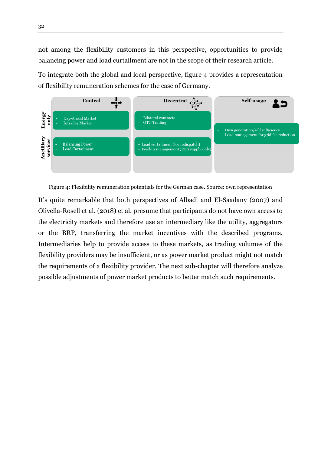not among the flexibility customers in this perspective, opportunities to provide balancing power and load curtailment are not in the scope of their research article.

To integrate both the global and local perspective, figure 4 provides a representation of flexibility remuneration schemes for the case of Germany.

![](_page_31_Figure_2.jpeg)

<span id="page-31-0"></span>Figure 4: Flexibility remuneration potentials for the German case. Source: own representation

It's quite remarkable that both perspectives of Albadi and El-Saadany (2007) and Olivella-Rosell et al. (2018) et al. presume that participants do not have own access to the electricity markets and therefore use an intermediary like the utility, aggregators or the BRP, transferring the market incentives with the described programs. Intermediaries help to provide access to these markets, as trading volumes of the flexibility providers may be insufficient, or as power market product might not match the requirements of a flexibility provider. The next sub-chapter will therefore analyze possible adjustments of power market products to better match such requirements.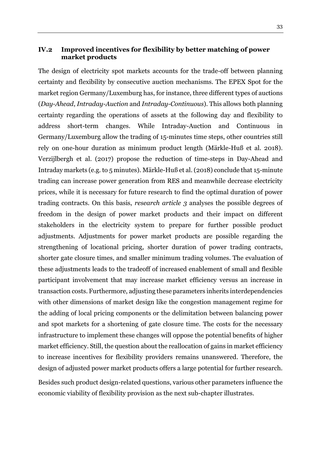## <span id="page-32-0"></span>**IV.2 Improved incentives for flexibility by better matching of power market products**

The design of electricity spot markets accounts for the trade-off between planning certainty and flexibility by consecutive auction mechanisms. The EPEX Spot for the market region Germany/Luxemburg has, for instance, three different types of auctions (*Day-Ahead*, *Intraday-Auction* and *Intraday-Continuous*). This allows both planning certainty regarding the operations of assets at the following day and flexibility to address short-term changes. While Intraday-Auction and Continuous in Germany/Luxemburg allow the trading of 15-minutes time steps, other countries still rely on one-hour duration as minimum product length (Märkle-Huß et al. 2018). Verzijlbergh et al. (2017) propose the reduction of time-steps in Day-Ahead and Intraday markets (e.g. to 5 minutes). Märkle-Huß et al. (2018) conclude that 15-minute trading can increase power generation from RES and meanwhile decrease electricity prices, while it is necessary for future research to find the optimal duration of power trading contracts. On this basis, *research article 3* analyses the possible degrees of freedom in the design of power market products and their impact on different stakeholders in the electricity system to prepare for further possible product adjustments. Adjustments for power market products are possible regarding the strengthening of locational pricing, shorter duration of power trading contracts, shorter gate closure times, and smaller minimum trading volumes. The evaluation of these adjustments leads to the tradeoff of increased enablement of small and flexible participant involvement that may increase market efficiency versus an increase in transaction costs. Furthermore, adjusting these parameters inherits interdependencies with other dimensions of market design like the congestion management regime for the adding of local pricing components or the delimitation between balancing power and spot markets for a shortening of gate closure time. The costs for the necessary infrastructure to implement these changes will oppose the potential benefits of higher market efficiency. Still, the question about the reallocation of gains in market efficiency to increase incentives for flexibility providers remains unanswered. Therefore, the design of adjusted power market products offers a large potential for further research. Besides such product design-related questions, various other parameters influence the

economic viability of flexibility provision as the next sub-chapter illustrates.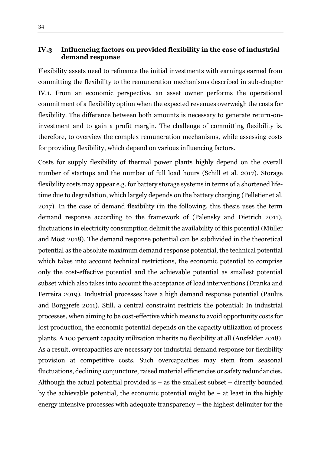## <span id="page-33-0"></span>**IV.3 Influencing factors on provided flexibility in the case of industrial demand response**

Flexibility assets need to refinance the initial investments with earnings earned from committing the flexibility to the remuneration mechanisms described in sub-chapter IV.1. From an economic perspective, an asset owner performs the operational commitment of a flexibility option when the expected revenues overweigh the costs for flexibility. The difference between both amounts is necessary to generate return-oninvestment and to gain a profit margin. The challenge of committing flexibility is, therefore, to overview the complex remuneration mechanisms, while assessing costs for providing flexibility, which depend on various influencing factors.

Costs for supply flexibility of thermal power plants highly depend on the overall number of startups and the number of full load hours (Schill et al. 2017). Storage flexibility costs may appear e.g. for battery storage systems in terms of a shortened lifetime due to degradation, which largely depends on the battery charging (Pelletier et al. 2017). In the case of demand flexibility (in the following, this thesis uses the term demand response according to the framework of (Palensky and Dietrich 2011), fluctuations in electricity consumption delimit the availability of this potential (Müller and Möst 2018). The demand response potential can be subdivided in the theoretical potential as the absolute maximum demand response potential, the technical potential which takes into account technical restrictions, the economic potential to comprise only the cost-effective potential and the achievable potential as smallest potential subset which also takes into account the acceptance of load interventions (Dranka and Ferreira 2019). Industrial processes have a high demand response potential (Paulus and Borggrefe 2011). Still, a central constraint restricts the potential: In industrial processes, when aiming to be cost-effective which means to avoid opportunity costs for lost production, the economic potential depends on the capacity utilization of process plants. A 100 percent capacity utilization inherits no flexibility at all (Ausfelder 2018). As a result, overcapacities are necessary for industrial demand response for flexibility provision at competitive costs. Such overcapacities may stem from seasonal fluctuations, declining conjuncture, raised material efficiencies or safety redundancies. Although the actual potential provided is  $-$  as the smallest subset  $-$  directly bounded by the achievable potential, the economic potential might be – at least in the highly energy intensive processes with adequate transparency – the highest delimiter for the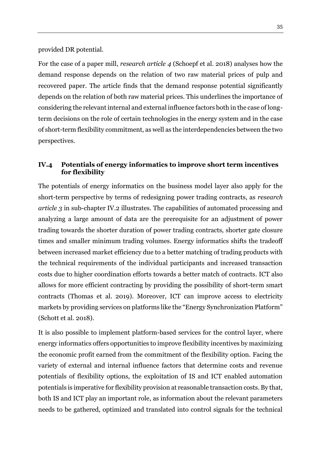provided DR potential.

For the case of a paper mill, *research article 4* (Schoepf et al. 2018) analyses how the demand response depends on the relation of two raw material prices of pulp and recovered paper. The article finds that the demand response potential significantly depends on the relation of both raw material prices. This underlines the importance of considering the relevant internal and external influence factors both in the case of longterm decisions on the role of certain technologies in the energy system and in the case of short-term flexibility commitment, as well as the interdependencies between the two perspectives.

## <span id="page-34-0"></span>**IV.4 Potentials of energy informatics to improve short term incentives for flexibility**

The potentials of energy informatics on the business model layer also apply for the short-term perspective by terms of redesigning power trading contracts, as *research article 3* in sub-chapter IV.2 illustrates. The capabilities of automated processing and analyzing a large amount of data are the prerequisite for an adjustment of power trading towards the shorter duration of power trading contracts, shorter gate closure times and smaller minimum trading volumes. Energy informatics shifts the tradeoff between increased market efficiency due to a better matching of trading products with the technical requirements of the individual participants and increased transaction costs due to higher coordination efforts towards a better match of contracts. ICT also allows for more efficient contracting by providing the possibility of short-term smart contracts (Thomas et al. 2019). Moreover, ICT can improve access to electricity markets by providing services on platforms like the "Energy Synchronization Platform" (Schott et al. 2018).

It is also possible to implement platform-based services for the control layer, where energy informatics offers opportunities to improve flexibility incentives by maximizing the economic profit earned from the commitment of the flexibility option. Facing the variety of external and internal influence factors that determine costs and revenue potentials of flexibility options, the exploitation of IS and ICT enabled automation potentials is imperative for flexibility provision at reasonable transaction costs. By that, both IS and ICT play an important role, as information about the relevant parameters needs to be gathered, optimized and translated into control signals for the technical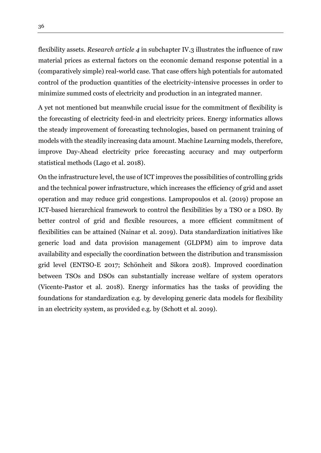flexibility assets. *Research article 4* in subchapter IV.3 illustrates the influence of raw material prices as external factors on the economic demand response potential in a (comparatively simple) real-world case. That case offers high potentials for automated control of the production quantities of the electricity-intensive processes in order to minimize summed costs of electricity and production in an integrated manner.

A yet not mentioned but meanwhile crucial issue for the commitment of flexibility is the forecasting of electricity feed-in and electricity prices. Energy informatics allows the steady improvement of forecasting technologies, based on permanent training of models with the steadily increasing data amount. Machine Learning models, therefore, improve Day-Ahead electricity price forecasting accuracy and may outperform statistical methods (Lago et al. 2018).

On the infrastructure level, the use of ICT improves the possibilities of controlling grids and the technical power infrastructure, which increases the efficiency of grid and asset operation and may reduce grid congestions. Lampropoulos et al. (2019) propose an ICT-based hierarchical framework to control the flexibilities by a TSO or a DSO. By better control of grid and flexible resources, a more efficient commitment of flexibilities can be attained (Nainar et al. 2019). Data standardization initiatives like generic load and data provision management (GLDPM) aim to improve data availability and especially the coordination between the distribution and transmission grid level (ENTSO-E 2017; Schönheit and Sikora 2018). Improved coordination between TSOs and DSOs can substantially increase welfare of system operators (Vicente-Pastor et al. 2018). Energy informatics has the tasks of providing the foundations for standardization e.g. by developing generic data models for flexibility in an electricity system, as provided e.g. by (Schott et al. 2019).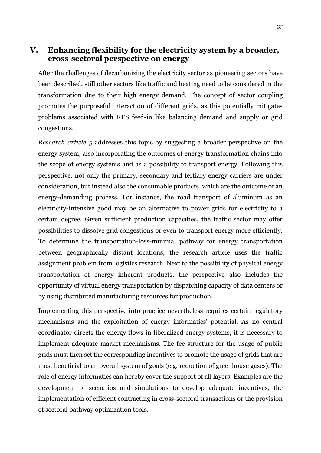# <span id="page-36-0"></span>**V. Enhancing flexibility for the electricity system by a broader, cross-sectoral perspective on energy**

After the challenges of decarbonizing the electricity sector as pioneering sectors have been described, still other sectors like traffic and heating need to be considered in the transformation due to their high energy demand. The concept of sector coupling promotes the purposeful interaction of different grids, as this potentially mitigates problems associated with RES feed-in like balancing demand and supply or grid congestions.

*Research article 5* addresses this topic by suggesting a broader perspective on the energy system, also incorporating the outcomes of energy transformation chains into the scope of energy systems and as a possibility to transport energy. Following this perspective, not only the primary, secondary and tertiary energy carriers are under consideration, but instead also the consumable products, which are the outcome of an energy-demanding process. For instance, the road transport of aluminum as an electricity-intensive good may be an alternative to power grids for electricity to a certain degree. Given sufficient production capacities, the traffic sector may offer possibilities to dissolve grid congestions or even to transport energy more efficiently. To determine the transportation-loss-minimal pathway for energy transportation between geographically distant locations, the research article uses the traffic assignment problem from logistics research. Next to the possibility of physical energy transportation of energy inherent products, the perspective also includes the opportunity of virtual energy transportation by dispatching capacity of data centers or by using distributed manufacturing resources for production.

Implementing this perspective into practice nevertheless requires certain regulatory mechanisms and the exploitation of energy informatics' potential. As no central coordinator directs the energy flows in liberalized energy systems, it is necessary to implement adequate market mechanisms. The fee structure for the usage of public grids must then set the corresponding incentives to promote the usage of grids that are most beneficial to an overall system of goals (e.g. reduction of greenhouse gases). The role of energy informatics can hereby cover the support of all layers. Examples are the development of scenarios and simulations to develop adequate incentives, the implementation of efficient contracting in cross-sectoral transactions or the provision of sectoral pathway optimization tools.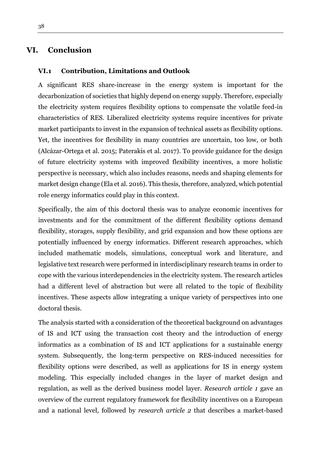# <span id="page-37-0"></span>**VI. Conclusion**

#### <span id="page-37-1"></span>**VI.1 Contribution, Limitations and Outlook**

A significant RES share-increase in the energy system is important for the decarbonization of societies that highly depend on energy supply. Therefore, especially the electricity system requires flexibility options to compensate the volatile feed-in characteristics of RES. Liberalized electricity systems require incentives for private market participants to invest in the expansion of technical assets as flexibility options. Yet, the incentives for flexibility in many countries are uncertain, too low, or both (Alcázar-Ortega et al. 2015; Paterakis et al. 2017). To provide guidance for the design of future electricity systems with improved flexibility incentives, a more holistic perspective is necessary, which also includes reasons, needs and shaping elements for market design change (Ela et al. 2016). This thesis, therefore, analyzed, which potential role energy informatics could play in this context.

Specifically, the aim of this doctoral thesis was to analyze economic incentives for investments and for the commitment of the different flexibility options demand flexibility, storages, supply flexibility, and grid expansion and how these options are potentially influenced by energy informatics. Different research approaches, which included mathematic models, simulations, conceptual work and literature, and legislative text research were performed in interdisciplinary research teams in order to cope with the various interdependencies in the electricity system. The research articles had a different level of abstraction but were all related to the topic of flexibility incentives. These aspects allow integrating a unique variety of perspectives into one doctoral thesis.

The analysis started with a consideration of the theoretical background on advantages of IS and ICT using the transaction cost theory and the introduction of energy informatics as a combination of IS and ICT applications for a sustainable energy system. Subsequently, the long-term perspective on RES-induced necessities for flexibility options were described, as well as applications for IS in energy system modeling. This especially included changes in the layer of market design and regulation, as well as the derived business model layer. *Research article 1* gave an overview of the current regulatory framework for flexibility incentives on a European and a national level*,* followed by *research article 2* that describes a market-based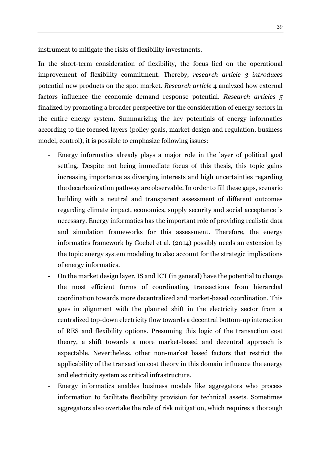instrument to mitigate the risks of flexibility investments.

In the short-term consideration of flexibility, the focus lied on the operational improvement of flexibility commitment. Thereby, *research article 3 introduces*  potential new products on the spot market*. Research article* 4 analyzed how external factors influence the economic demand response potential. *Research articles 5*  finalized by promoting a broader perspective for the consideration of energy sectors in the entire energy system. Summarizing the key potentials of energy informatics according to the focused layers (policy goals, market design and regulation, business model, control), it is possible to emphasize following issues:

- Energy informatics already plays a major role in the layer of political goal setting. Despite not being immediate focus of this thesis, this topic gains increasing importance as diverging interests and high uncertainties regarding the decarbonization pathway are observable. In order to fill these gaps, scenario building with a neutral and transparent assessment of different outcomes regarding climate impact, economics, supply security and social acceptance is necessary. Energy informatics has the important role of providing realistic data and simulation frameworks for this assessment. Therefore, the energy informatics framework by Goebel et al. (2014) possibly needs an extension by the topic energy system modeling to also account for the strategic implications of energy informatics.
- On the market design layer, IS and ICT (in general) have the potential to change the most efficient forms of coordinating transactions from hierarchal coordination towards more decentralized and market-based coordination. This goes in alignment with the planned shift in the electricity sector from a centralized top-down electricity flow towards a decentral bottom-up interaction of RES and flexibility options. Presuming this logic of the transaction cost theory, a shift towards a more market-based and decentral approach is expectable. Nevertheless, other non-market based factors that restrict the applicability of the transaction cost theory in this domain influence the energy and electricity system as critical infrastructure.
- Energy informatics enables business models like aggregators who process information to facilitate flexibility provision for technical assets. Sometimes aggregators also overtake the role of risk mitigation, which requires a thorough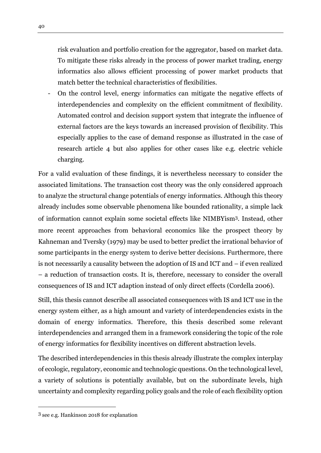risk evaluation and portfolio creation for the aggregator, based on market data. To mitigate these risks already in the process of power market trading, energy informatics also allows efficient processing of power market products that match better the technical characteristics of flexibilities.

- On the control level, energy informatics can mitigate the negative effects of interdependencies and complexity on the efficient commitment of flexibility. Automated control and decision support system that integrate the influence of external factors are the keys towards an increased provision of flexibility. This especially applies to the case of demand response as illustrated in the case of research article 4 but also applies for other cases like e.g. electric vehicle charging.

For a valid evaluation of these findings, it is nevertheless necessary to consider the associated limitations. The transaction cost theory was the only considered approach to analyze the structural change potentials of energy informatics. Although this theory already includes some observable phenomena like bounded rationality, a simple lack of information cannot explain some societal effects like NIMBYism3. Instead, other more recent approaches from behavioral economics like the prospect theory by Kahneman and Tversky (1979) may be used to better predict the irrational behavior of some participants in the energy system to derive better decisions. Furthermore, there is not necessarily a causality between the adoption of IS and ICT and – if even realized – a reduction of transaction costs. It is, therefore, necessary to consider the overall consequences of IS and ICT adaption instead of only direct effects (Cordella 2006).

Still, this thesis cannot describe all associated consequences with IS and ICT use in the energy system either, as a high amount and variety of interdependencies exists in the domain of energy informatics. Therefore, this thesis described some relevant interdependencies and arranged them in a framework considering the topic of the role of energy informatics for flexibility incentives on different abstraction levels.

The described interdependencies in this thesis already illustrate the complex interplay of ecologic, regulatory, economic and technologic questions. On the technological level, a variety of solutions is potentially available, but on the subordinate levels, high uncertainty and complexity regarding policy goals and the role of each flexibility option

 $\overline{a}$ 

<sup>3</sup> see e.g. Hankinson 2018 for explanation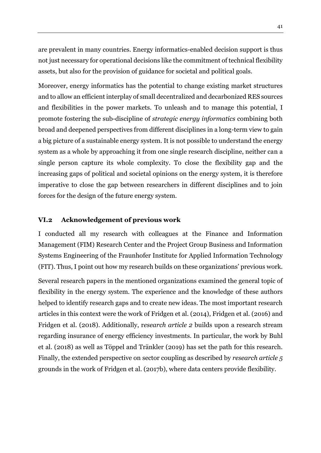are prevalent in many countries. Energy informatics-enabled decision support is thus not just necessary for operational decisions like the commitment of technical flexibility assets, but also for the provision of guidance for societal and political goals.

Moreover, energy informatics has the potential to change existing market structures and to allow an efficient interplay of small decentralized and decarbonized RES sources and flexibilities in the power markets. To unleash and to manage this potential, I promote fostering the sub-discipline of *strategic energy informatics* combining both broad and deepened perspectives from different disciplines in a long-term view to gain a big picture of a sustainable energy system. It is not possible to understand the energy system as a whole by approaching it from one single research discipline, neither can a single person capture its whole complexity. To close the flexibility gap and the increasing gaps of political and societal opinions on the energy system, it is therefore imperative to close the gap between researchers in different disciplines and to join forces for the design of the future energy system.

#### <span id="page-40-0"></span>**VI.2 Acknowledgement of previous work**

I conducted all my research with colleagues at the Finance and Information Management (FIM) Research Center and the Project Group Business and Information Systems Engineering of the Fraunhofer Institute for Applied Information Technology (FIT). Thus, I point out how my research builds on these organizations' previous work.

Several research papers in the mentioned organizations examined the general topic of flexibility in the energy system. The experience and the knowledge of these authors helped to identify research gaps and to create new ideas. The most important research articles in this context were the work of Fridgen et al. (2014), Fridgen et al. (2016) and Fridgen et al. (2018). Additionally, r*esearch article 2* builds upon a research stream regarding insurance of energy efficiency investments. In particular, the work by Buhl et al. (2018) as well as Töppel and Tränkler (2019) has set the path for this research. Finally, the extended perspective on sector coupling as described by *research article 5* grounds in the work of Fridgen et al. (2017b), where data centers provide flexibility.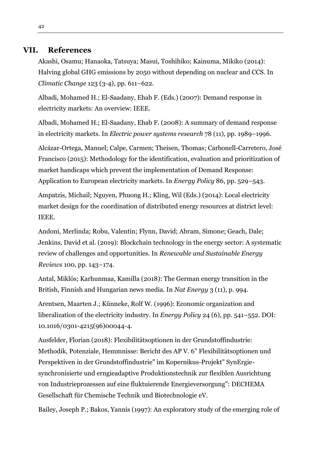## **VII. References**

<span id="page-41-0"></span>Akashi, Osamu; Hanaoka, Tatsuya; Masui, Toshihiko; Kainuma, Mikiko (2014): Halving global GHG emissions by 2050 without depending on nuclear and CCS. In *Climatic Change* 123 (3-4), pp. 611–622.

Albadi, Mohamed H.; El-Saadany, Ehab F. (Eds.) (2007): Demand response in electricity markets: An overview: IEEE.

Albadi, Mohamed H.; El-Saadany, Ehab F. (2008): A summary of demand response in electricity markets. In *Electric power systems research* 78 (11), pp. 1989–1996.

Alcázar-Ortega, Manuel; Calpe, Carmen; Theisen, Thomas; Carbonell-Carretero, José Francisco (2015): Methodology for the identification, evaluation and prioritization of market handicaps which prevent the implementation of Demand Response: Application to European electricity markets. In *Energy Policy* 86, pp. 529–543.

Ampatzis, Michail; Nguyen, Phuong H.; Kling, Wil (Eds.) (2014): Local electricity market design for the coordination of distributed energy resources at district level: IEEE.

Andoni, Merlinda; Robu, Valentin; Flynn, David; Abram, Simone; Geach, Dale; Jenkins, David et al. (2019): Blockchain technology in the energy sector: A systematic review of challenges and opportunities. In *Renewable and Sustainable Energy Reviews* 100, pp. 143–174.

Antal, Miklós; Karhunmaa, Kamilla (2018): The German energy transition in the British, Finnish and Hungarian news media. In *Nat Energy* 3 (11), p. 994.

Arentsen, Maarten J.; Künneke, Rolf W. (1996): Economic organization and liberalization of the electricity industry. In *Energy Policy* 24 (6), pp. 541–552. DOI: 10.1016/0301-4215(96)00044-4.

Ausfelder, Florian (2018): Flexibilitätsoptionen in der Grundstoffindustrie: Methodik, Potenziale, Hemmnisse: Bericht des AP V. 6" Flexibilitätsoptionen und Perspektiven in der Grundstoffindustrie" im Kopernikus-Projekt" SynErgiesynchronisierte und erngieadaptive Produktionstechnik zur flexiblen Ausrichtung von Industrieprozessen auf eine fluktuierende Energieversorgung": DECHEMA Gesellschaft für Chemische Technik und Biotechnologie eV.

Bailey, Joseph P.; Bakos, Yannis (1997): An exploratory study of the emerging role of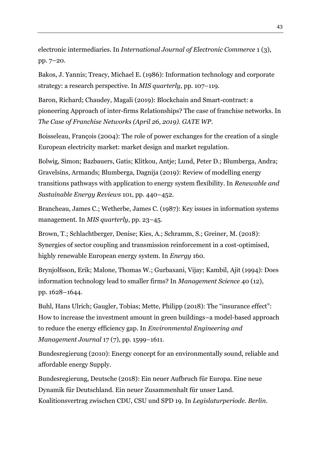electronic intermediaries. In *International Journal of Electronic Commerce* 1 (3), pp. 7–20.

Bakos, J. Yannis; Treacy, Michael E. (1986): Information technology and corporate strategy: a research perspective. In *MIS quarterly*, pp. 107–119.

Baron, Richard; Chaudey, Magali (2019): Blockchain and Smart-contract: a pioneering Approach of inter-firms Relationships? The case of franchise networks. In *The Case of Franchise Networks (April 26, 2019). GATE WP*.

Boisseleau, François (2004): The role of power exchanges for the creation of a single European electricity market: market design and market regulation.

Bolwig, Simon; Bazbauers, Gatis; Klitkou, Antje; Lund, Peter D.; Blumberga, Andra; Gravelsins, Armands; Blumberga, Dagnija (2019): Review of modelling energy transitions pathways with application to energy system flexibility. In *Renewable and Sustainable Energy Reviews* 101, pp. 440–452.

Brancheau, James C.; Wetherbe, James C. (1987): Key issues in information systems management. In *MIS quarterly*, pp. 23–45.

Brown, T.; Schlachtberger, Denise; Kies, A.; Schramm, S.; Greiner, M. (2018): Synergies of sector coupling and transmission reinforcement in a cost-optimised, highly renewable European energy system. In *Energy* 160.

Brynjolfsson, Erik; Malone, Thomas W.; Gurbaxani, Vijay; Kambil, Ajit (1994): Does information technology lead to smaller firms? In *Management Science* 40 (12), pp. 1628–1644.

Buhl, Hans Ulrich; Gaugler, Tobias; Mette, Philipp (2018): The "insurance effect": How to increase the investment amount in green buildings–a model-based approach to reduce the energy efficiency gap. In *Environmental Engineering and Management Journal* 17 (7), pp. 1599–1611.

Bundesregierung (2010): Energy concept for an environmentally sound, reliable and affordable energy Supply.

Bundesregierung, Deutsche (2018): Ein neuer Aufbruch für Europa. Eine neue Dynamik für Deutschland. Ein neuer Zusammenhalt für unser Land. Koalitionsvertrag zwischen CDU, CSU und SPD 19. In *Legislaturperiode. Berlin*.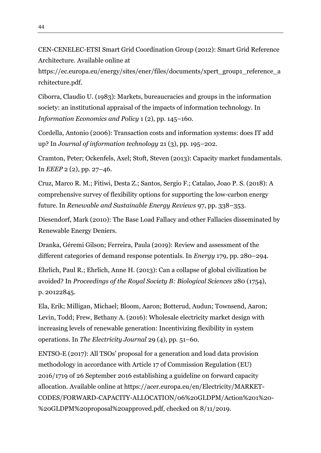https://ec.europa.eu/energy/sites/ener/files/documents/xpert\_group1\_reference\_a rchitecture.pdf.

Ciborra, Claudio U. (1983): Markets, bureaucracies and groups in the information society: an institutional appraisal of the impacts of information technology. In *Information Economics and Policy* 1 (2), pp. 145–160.

Cordella, Antonio (2006): Transaction costs and information systems: does IT add up? In *Journal of information technology* 21 (3), pp. 195–202.

Cramton, Peter; Ockenfels, Axel; Stoft, Steven (2013): Capacity market fundamentals. In *EEEP* 2 (2), pp. 27–46.

Cruz, Marco R. M.; Fitiwi, Desta Z.; Santos, Sergio F.; Catalao, Joao P. S. (2018): A comprehensive survey of flexibility options for supporting the low-carbon energy future. In *Renewable and Sustainable Energy Reviews* 97, pp. 338–353.

Diesendorf, Mark (2010): The Base Load Fallacy and other Fallacies disseminated by Renewable Energy Deniers.

Dranka, Géremi Gilson; Ferreira, Paula (2019): Review and assessment of the different categories of demand response potentials. In *Energy* 179, pp. 280–294.

Ehrlich, Paul R.; Ehrlich, Anne H. (2013): Can a collapse of global civilization be avoided? In *Proceedings of the Royal Society B: Biological Sciences* 280 (1754), p. 20122845.

Ela, Erik; Milligan, Michael; Bloom, Aaron; Botterud, Audun; Townsend, Aaron; Levin, Todd; Frew, Bethany A. (2016): Wholesale electricity market design with increasing levels of renewable generation: Incentivizing flexibility in system operations. In *The Electricity Journal* 29 (4), pp. 51–60.

ENTSO-E (2017): All TSOs' proposal for a generation and load data provision methodology in accordance with Article 17 of Commission Regulation (EU) 2016/1719 of 26 September 2016 establishing a guideline on forward capacity allocation. Available online at https://acer.europa.eu/en/Electricity/MARKET-CODES/FORWARD-CAPACITY-ALLOCATION/06%20GLDPM/Action%201%20- %20GLDPM%20proposal%20approved.pdf, checked on 8/11/2019.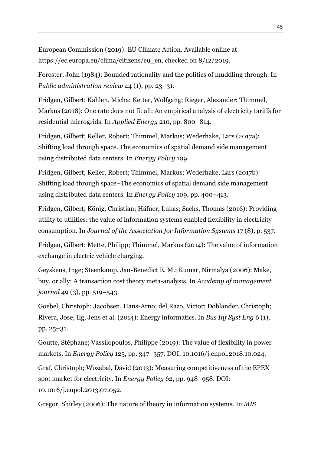European Commission (2019): EU Climate Action. Available online at https://ec.europa.eu/clima/citizens/eu\_en, checked on 8/12/2019.

Forester, John (1984): Bounded rationality and the politics of muddling through. In *Public administration review* 44 (1), pp. 23–31.

Fridgen, Gilbert; Kahlen, Micha; Ketter, Wolfgang; Rieger, Alexander; Thimmel, Markus (2018): One rate does not fit all: An empirical analysis of electricity tariffs for residential microgrids. In *Applied Energy* 210, pp. 800–814.

Fridgen, Gilbert; Keller, Robert; Thimmel, Markus; Wederhake, Lars (2017a): Shifting load through space. The economics of spatial demand side management using distributed data centers. In *Energy Policy* 109.

Fridgen, Gilbert; Keller, Robert; Thimmel, Markus; Wederhake, Lars (2017b): Shifting load through space–The economics of spatial demand side management using distributed data centers. In *Energy Policy* 109, pp. 400–413.

Fridgen, Gilbert; König, Christian; Häfner, Lukas; Sachs, Thomas (2016): Providing utility to utilities: the value of information systems enabled flexibility in electricity consumption. In *Journal of the Association for Information Systems* 17 (8), p. 537.

Fridgen, Gilbert; Mette, Philipp; Thimmel, Markus (2014): The value of information exchange in electric vehicle charging.

Geyskens, Inge; Steenkamp, Jan-Benedict E. M.; Kumar, Nirmalya (2006): Make, buy, or ally: A transaction cost theory meta-analysis. In *Academy of management journal* 49 (3), pp. 519–543.

Goebel, Christoph; Jacobsen, Hans-Arno; del Razo, Victor; Doblander, Christoph; Rivera, Jose; Ilg, Jens et al. (2014): Energy informatics. In *Bus Inf Syst Eng* 6 (1), pp. 25–31.

Goutte, Stéphane; Vassilopoulos, Philippe (2019): The value of flexibility in power markets. In *Energy Policy* 125, pp. 347–357. DOI: 10.1016/j.enpol.2018.10.024.

Graf, Christoph; Wozabal, David (2013): Measuring competitiveness of the EPEX spot market for electricity. In *Energy Policy* 62, pp. 948–958. DOI: 10.1016/j.enpol.2013.07.052.

Gregor, Shirley (2006): The nature of theory in information systems. In *MIS*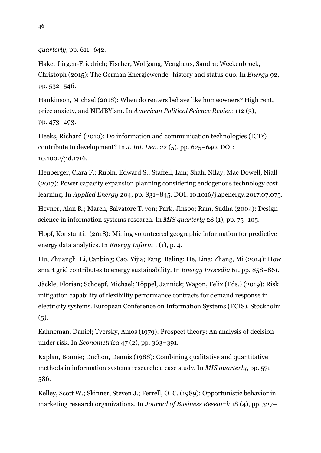#### *quarterly*, pp. 611–642.

Hake, Jürgen-Friedrich; Fischer, Wolfgang; Venghaus, Sandra; Weckenbrock, Christoph (2015): The German Energiewende–history and status quo. In *Energy* 92, pp. 532–546.

Hankinson, Michael (2018): When do renters behave like homeowners? High rent, price anxiety, and NIMBYism. In *American Political Science Review* 112 (3), pp. 473–493.

Heeks, Richard (2010): Do information and communication technologies (ICTs) contribute to development? In *J. Int. Dev.* 22 (5), pp. 625–640. DOI: 10.1002/jid.1716.

Heuberger, Clara F.; Rubin, Edward S.; Staffell, Iain; Shah, Nilay; Mac Dowell, Niall (2017): Power capacity expansion planning considering endogenous technology cost learning. In *Applied Energy* 204, pp. 831–845. DOI: 10.1016/j.apenergy.2017.07.075.

Hevner, Alan R.; March, Salvatore T. von; Park, Jinsoo; Ram, Sudha (2004): Design science in information systems research. In *MIS quarterly* 28 (1), pp. 75–105.

Hopf, Konstantin (2018): Mining volunteered geographic information for predictive energy data analytics. In *Energy Inform* 1 (1), p. 4.

Hu, Zhuangli; Li, Canbing; Cao, Yijia; Fang, Baling; He, Lina; Zhang, Mi (2014): How smart grid contributes to energy sustainability. In *Energy Procedia* 61, pp. 858–861.

Jäckle, Florian; Schoepf, Michael; Töppel, Jannick; Wagon, Felix (Eds.) (2019): Risk mitigation capability of flexibility performance contracts for demand response in electricity systems. European Conference on Information Systems (ECIS). Stockholm  $(5).$ 

Kahneman, Daniel; Tversky, Amos (1979): Prospect theory: An analysis of decision under risk. In *Econometrica* 47 (2), pp. 363–391.

Kaplan, Bonnie; Duchon, Dennis (1988): Combining qualitative and quantitative methods in information systems research: a case study. In *MIS quarterly*, pp. 571– 586.

Kelley, Scott W.; Skinner, Steven J.; Ferrell, O. C. (1989): Opportunistic behavior in marketing research organizations. In *Journal of Business Research* 18 (4), pp. 327–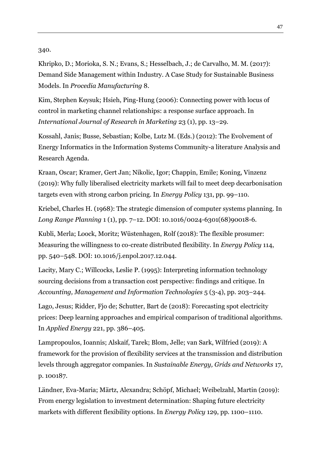340.

Khripko, D.; Morioka, S. N.; Evans, S.; Hesselbach, J.; de Carvalho, M. M. (2017): Demand Side Management within Industry. A Case Study for Sustainable Business Models. In *Procedia Manufacturing* 8.

Kim, Stephen Keysuk; Hsieh, Ping-Hung (2006): Connecting power with locus of control in marketing channel relationships: a response surface approach. In *International Journal of Research in Marketing* 23 (1), pp. 13–29.

Kossahl, Janis; Busse, Sebastian; Kolbe, Lutz M. (Eds.) (2012): The Evolvement of Energy Informatics in the Information Systems Community-a literature Analysis and Research Agenda.

Kraan, Oscar; Kramer, Gert Jan; Nikolic, Igor; Chappin, Emile; Koning, Vinzenz (2019): Why fully liberalised electricity markets will fail to meet deep decarbonisation targets even with strong carbon pricing. In *Energy Policy* 131, pp. 99–110.

Kriebel, Charles H. (1968): The strategic dimension of computer systems planning. In *Long Range Planning* 1 (1), pp. 7–12. DOI: 10.1016/0024-6301(68)90018-6.

Kubli, Merla; Loock, Moritz; Wüstenhagen, Rolf (2018): The flexible prosumer: Measuring the willingness to co-create distributed flexibility. In *Energy Policy* 114, pp. 540–548. DOI: 10.1016/j.enpol.2017.12.044.

Lacity, Mary C.; Willcocks, Leslie P. (1995): Interpreting information technology sourcing decisions from a transaction cost perspective: findings and critique. In *Accounting, Management and Information Technologies* 5 (3-4), pp. 203–244.

Lago, Jesus; Ridder, Fjo de; Schutter, Bart de (2018): Forecasting spot electricity prices: Deep learning approaches and empirical comparison of traditional algorithms. In *Applied Energy* 221, pp. 386–405.

Lampropoulos, Ioannis; Alskaif, Tarek; Blom, Jelle; van Sark, Wilfried (2019): A framework for the provision of flexibility services at the transmission and distribution levels through aggregator companies. In *Sustainable Energy, Grids and Networks* 17, p. 100187.

Ländner, Eva-Maria; Märtz, Alexandra; Schöpf, Michael; Weibelzahl, Martin (2019): From energy legislation to investment determination: Shaping future electricity markets with different flexibility options. In *Energy Policy* 129, pp. 1100–1110.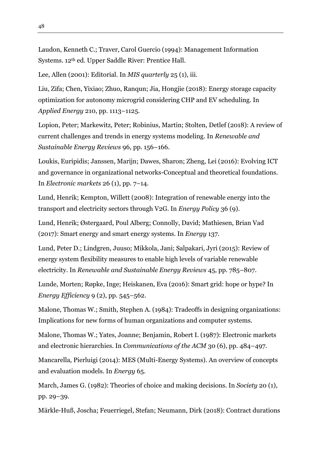Laudon, Kenneth C.; Traver, Carol Guercio (1994): Management Information Systems. 12th ed. Upper Saddle River: Prentice Hall.

Lee, Allen (2001): Editorial. In *MIS quarterly* 25 (1), iii.

Liu, Zifa; Chen, Yixiao; Zhuo, Ranqun; Jia, Hongjie (2018): Energy storage capacity optimization for autonomy microgrid considering CHP and EV scheduling. In *Applied Energy* 210, pp. 1113–1125.

Lopion, Peter; Markewitz, Peter; Robinius, Martin; Stolten, Detlef (2018): A review of current challenges and trends in energy systems modeling. In *Renewable and Sustainable Energy Reviews* 96, pp. 156–166.

Loukis, Euripidis; Janssen, Marijn; Dawes, Sharon; Zheng, Lei (2016): Evolving ICT and governance in organizational networks-Conceptual and theoretical foundations. In *Electronic markets* 26 (1), pp. 7–14.

Lund, Henrik; Kempton, Willett (2008): Integration of renewable energy into the transport and electricity sectors through V2G. In *Energy Policy* 36 (9).

Lund, Henrik; Østergaard, Poul Alberg; Connolly, David; Mathiesen, Brian Vad (2017): Smart energy and smart energy systems. In *Energy* 137.

Lund, Peter D.; Lindgren, Juuso; Mikkola, Jani; Salpakari, Jyri (2015): Review of energy system flexibility measures to enable high levels of variable renewable electricity. In *Renewable and Sustainable Energy Reviews* 45, pp. 785–807.

Lunde, Morten; Røpke, Inge; Heiskanen, Eva (2016): Smart grid: hope or hype? In *Energy Efficiency* 9 (2), pp. 545–562.

Malone, Thomas W.; Smith, Stephen A. (1984): Tradeoffs in designing organizations: Implications for new forms of human organizations and computer systems.

Malone, Thomas W.; Yates, Joanne; Benjamin, Robert I. (1987): Electronic markets and electronic hierarchies. In *Communications of the ACM* 30 (6), pp. 484–497.

Mancarella, Pierluigi (2014): MES (Multi-Energy Systems). An overview of concepts and evaluation models. In *Energy* 65.

March, James G. (1982): Theories of choice and making decisions. In *Society* 20 (1), pp. 29–39.

Märkle-Huß, Joscha; Feuerriegel, Stefan; Neumann, Dirk (2018): Contract durations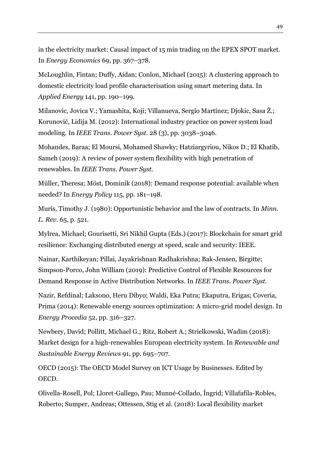in the electricity market: Causal impact of 15 min trading on the EPEX SPOT market. In *Energy Economics* 69, pp. 367–378.

McLoughlin, Fintan; Duffy, Aidan; Conlon, Michael (2015): A clustering approach to domestic electricity load profile characterisation using smart metering data. In *Applied Energy* 141, pp. 190–199.

Milanovic, Jovica V.; Yamashita, Koji; Villanueva, Sergio Martínez; Djokic, Sasa Ž.; Korunović, Lidija M. (2012): International industry practice on power system load modeling. In *IEEE Trans. Power Syst.* 28 (3), pp. 3038–3046.

Mohandes, Baraa; El Moursi, Mohamed Shawky; Hatziargyriou, Nikos D.; El Khatib, Sameh (2019): A review of power system flexibility with high penetration of renewables. In *IEEE Trans. Power Syst.*

Müller, Theresa; Möst, Dominik (2018): Demand response potential: available when needed? In *Energy Policy* 115, pp. 181–198.

Muris, Timothy J. (1980): Opportunistic behavior and the law of contracts. In *Minn. L. Rev.* 65, p. 521.

Mylrea, Michael; Gourisetti, Sri Nikhil Gupta (Eds.) (2017): Blockchain for smart grid resilience: Exchanging distributed energy at speed, scale and security: IEEE.

Nainar, Karthikeyan; Pillai, Jayakrishnan Radhakrishna; Bak-Jensen, Birgitte; Simpson-Porco, John William (2019): Predictive Control of Flexible Resources for Demand Response in Active Distribution Networks. In *IEEE Trans. Power Syst.*

Nazir, Refdinal; Laksono, Heru Dibyo; Waldi, Eka Putra; Ekaputra, Erigas; Coveria, Prima (2014): Renewable energy sources optimization: A micro-grid model design. In *Energy Procedia* 52, pp. 316–327.

Newbery, David; Pollitt, Michael G.; Ritz, Robert A.; Strielkowski, Wadim (2018): Market design for a high-renewables European electricity system. In *Renewable and Sustainable Energy Reviews* 91, pp. 695–707.

OECD (2015): The OECD Model Survey on ICT Usage by Businesses. Edited by OECD.

Olivella-Rosell, Pol; Lloret-Gallego, Pau; Munné-Collado, Íngrid; Villafafila-Robles, Roberto; Sumper, Andreas; Ottessen, Stig et al. (2018): Local flexibility market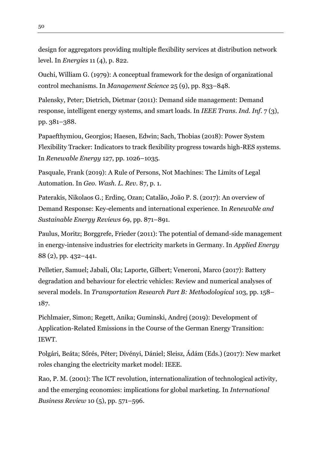design for aggregators providing multiple flexibility services at distribution network level. In *Energies* 11 (4), p. 822.

Ouchi, William G. (1979): A conceptual framework for the design of organizational control mechanisms. In *Management Science* 25 (9), pp. 833–848.

Palensky, Peter; Dietrich, Dietmar (2011): Demand side management: Demand response, intelligent energy systems, and smart loads. In *IEEE Trans. Ind. Inf.* 7 (3), pp. 381–388.

Papaefthymiou, Georgios; Haesen, Edwin; Sach, Thobias (2018): Power System Flexibility Tracker: Indicators to track flexibility progress towards high-RES systems. In *Renewable Energy* 127, pp. 1026–1035.

Pasquale, Frank (2019): A Rule of Persons, Not Machines: The Limits of Legal Automation. In *Geo. Wash. L. Rev.* 87, p. 1.

Paterakis, Nikolaos G.; Erdinç, Ozan; Catalão, João P. S. (2017): An overview of Demand Response: Key-elements and international experience. In *Renewable and Sustainable Energy Reviews* 69, pp. 871–891.

Paulus, Moritz; Borggrefe, Frieder (2011): The potential of demand-side management in energy-intensive industries for electricity markets in Germany. In *Applied Energy*  88 (2), pp. 432–441.

Pelletier, Samuel; Jabali, Ola; Laporte, Gilbert; Veneroni, Marco (2017): Battery degradation and behaviour for electric vehicles: Review and numerical analyses of several models. In *Transportation Research Part B: Methodological* 103, pp. 158– 187.

Pichlmaier, Simon; Regett, Anika; Guminski, Andrej (2019): Development of Application-Related Emissions in the Course of the German Energy Transition: IEWT.

Polgári, Beáta; Sőrés, Péter; Divényi, Dániel; Sleisz, Ádám (Eds.) (2017): New market roles changing the electricity market model: IEEE.

Rao, P. M. (2001): The ICT revolution, internationalization of technological activity, and the emerging economies: implications for global marketing. In *International Business Review* 10 (5), pp. 571–596.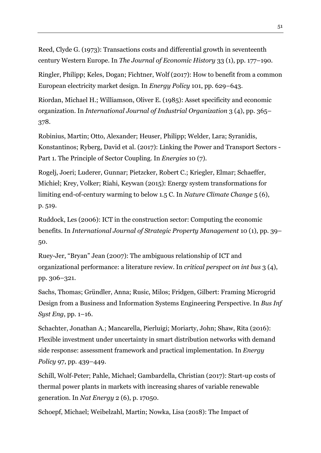Reed, Clyde G. (1973): Transactions costs and differential growth in seventeenth century Western Europe. In *The Journal of Economic History* 33 (1), pp. 177–190.

Ringler, Philipp; Keles, Dogan; Fichtner, Wolf (2017): How to benefit from a common European electricity market design. In *Energy Policy* 101, pp. 629–643.

Riordan, Michael H.; Williamson, Oliver E. (1985): Asset specificity and economic organization. In *International Journal of Industrial Organization* 3 (4), pp. 365– 378.

Robinius, Martin; Otto, Alexander; Heuser, Philipp; Welder, Lara; Syranidis, Konstantinos; Ryberg, David et al. (2017): Linking the Power and Transport Sectors - Part 1. The Principle of Sector Coupling. In *Energies* 10 (7).

Rogelj, Joeri; Luderer, Gunnar; Pietzcker, Robert C.; Kriegler, Elmar; Schaeffer, Michiel; Krey, Volker; Riahi, Keywan (2015): Energy system transformations for limiting end-of-century warming to below 1.5 C. In *Nature Climate Change* 5 (6), p. 519.

Ruddock, Les (2006): ICT in the construction sector: Computing the economic benefits. In *International Journal of Strategic Property Management* 10 (1), pp. 39– 50.

Ruey-Jer, "Bryan" Jean (2007): The ambiguous relationship of ICT and organizational performance: a literature review. In *critical perspect on int bus* 3 (4), pp. 306–321.

Sachs, Thomas; Gründler, Anna; Rusic, Milos; Fridgen, Gilbert: Framing Microgrid Design from a Business and Information Systems Engineering Perspective. In *Bus Inf Syst Eng*, pp. 1–16.

Schachter, Jonathan A.; Mancarella, Pierluigi; Moriarty, John; Shaw, Rita (2016): Flexible investment under uncertainty in smart distribution networks with demand side response: assessment framework and practical implementation. In *Energy Policy* 97, pp. 439–449.

Schill, Wolf-Peter; Pahle, Michael; Gambardella, Christian (2017): Start-up costs of thermal power plants in markets with increasing shares of variable renewable generation. In *Nat Energy* 2 (6), p. 17050.

Schoepf, Michael; Weibelzahl, Martin; Nowka, Lisa (2018): The Impact of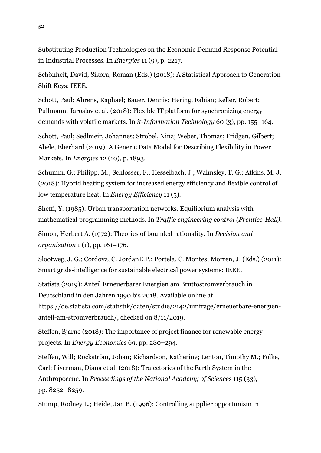Substituting Production Technologies on the Economic Demand Response Potential in Industrial Processes. In *Energies* 11 (9), p. 2217.

Schönheit, David; Sikora, Roman (Eds.) (2018): A Statistical Approach to Generation Shift Keys: IEEE.

Schott, Paul; Ahrens, Raphael; Bauer, Dennis; Hering, Fabian; Keller, Robert; Pullmann, Jaroslav et al. (2018): Flexible IT platform for synchronizing energy demands with volatile markets. In *it-Information Technology* 60 (3), pp. 155–164.

Schott, Paul; Sedlmeir, Johannes; Strobel, Nina; Weber, Thomas; Fridgen, Gilbert; Abele, Eberhard (2019): A Generic Data Model for Describing Flexibility in Power Markets. In *Energies* 12 (10), p. 1893.

Schumm, G.; Philipp, M.; Schlosser, F.; Hesselbach, J.; Walmsley, T. G.; Atkins, M. J. (2018): Hybrid heating system for increased energy efficiency and flexible control of low temperature heat. In *Energy Efficiency* 11 (5).

Sheffi, Y. (1985): Urban transportation networks. Equilibrium analysis with mathematical programming methods. In *Traffic engineering control (Prentice-Hall)*.

Simon, Herbert A. (1972): Theories of bounded rationality. In *Decision and organization* 1 (1), pp. 161–176.

Slootweg, J. G.; Cordova, C. JordanE.P.; Portela, C. Montes; Morren, J. (Eds.) (2011): Smart grids-intelligence for sustainable electrical power systems: IEEE.

Statista (2019): Anteil Erneuerbarer Energien am Bruttostromverbrauch in Deutschland in den Jahren 1990 bis 2018. Available online at https://de.statista.com/statistik/daten/studie/2142/umfrage/erneuerbare-energienanteil-am-stromverbrauch/, checked on 8/11/2019.

Steffen, Bjarne (2018): The importance of project finance for renewable energy projects. In *Energy Economics* 69, pp. 280–294.

Steffen, Will; Rockström, Johan; Richardson, Katherine; Lenton, Timothy M.; Folke, Carl; Liverman, Diana et al. (2018): Trajectories of the Earth System in the Anthropocene. In *Proceedings of the National Academy of Sciences* 115 (33), pp. 8252–8259.

Stump, Rodney L.; Heide, Jan B. (1996): Controlling supplier opportunism in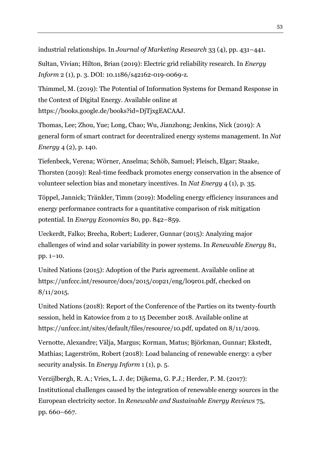industrial relationships. In *Journal of Marketing Research* 33 (4), pp. 431–441.

Sultan, Vivian; Hilton, Brian (2019): Electric grid reliability research. In *Energy Inform* 2 (1), p. 3. DOI: 10.1186/s42162-019-0069-z.

Thimmel, M. (2019): The Potential of Information Systems for Demand Response in the Context of Digital Energy. Available online at https://books.google.de/books?id=DjTjxgEACAAJ.

Thomas, Lee; Zhou, Yue; Long, Chao; Wu, Jianzhong; Jenkins, Nick (2019): A general form of smart contract for decentralized energy systems management. In *Nat Energy* 4 (2), p. 140.

Tiefenbeck, Verena; Wörner, Anselma; Schöb, Samuel; Fleisch, Elgar; Staake, Thorsten (2019): Real-time feedback promotes energy conservation in the absence of volunteer selection bias and monetary incentives. In *Nat Energy* 4 (1), p. 35.

Töppel, Jannick; Tränkler, Timm (2019): Modeling energy efficiency insurances and energy performance contracts for a quantitative comparison of risk mitigation potential. In *Energy Economics* 80, pp. 842–859.

Ueckerdt, Falko; Brecha, Robert; Luderer, Gunnar (2015): Analyzing major challenges of wind and solar variability in power systems. In *Renewable Energy* 81, pp. 1–10.

United Nations (2015): Adoption of the Paris agreement. Available online at https://unfccc.int/resource/docs/2015/cop21/eng/l09r01.pdf, checked on  $8/11/2015$ .

United Nations (2018): Report of the Conference of the Parties on its twenty-fourth session, held in Katowice from 2 to 15 December 2018. Available online at https://unfccc.int/sites/default/files/resource/10.pdf, updated on 8/11/2019.

Vernotte, Alexandre; Välja, Margus; Korman, Matus; Björkman, Gunnar; Ekstedt, Mathias; Lagerström, Robert (2018): Load balancing of renewable energy: a cyber security analysis. In *Energy Inform* 1 (1), p. 5.

Verzijlbergh, R. A.; Vries, L. J. de; Dijkema, G. P.J.; Herder, P. M. (2017): Institutional challenges caused by the integration of renewable energy sources in the European electricity sector. In *Renewable and Sustainable Energy Reviews* 75, pp. 660–667.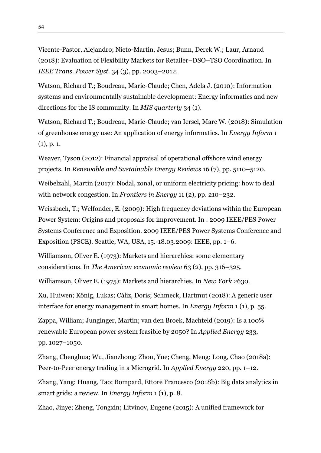Vicente-Pastor, Alejandro; Nieto-Martin, Jesus; Bunn, Derek W.; Laur, Arnaud (2018): Evaluation of Flexibility Markets for Retailer–DSO–TSO Coordination. In *IEEE Trans. Power Syst.* 34 (3), pp. 2003–2012.

Watson, Richard T.; Boudreau, Marie-Claude; Chen, Adela J. (2010): Information systems and environmentally sustainable development: Energy informatics and new directions for the IS community. In *MIS quarterly* 34 (1).

Watson, Richard T.; Boudreau, Marie-Claude; van Iersel, Marc W. (2018): Simulation of greenhouse energy use: An application of energy informatics. In *Energy Inform* 1 (1), p. 1.

Weaver, Tyson (2012): Financial appraisal of operational offshore wind energy projects. In *Renewable and Sustainable Energy Reviews* 16 (7), pp. 5110–5120.

Weibelzahl, Martin (2017): Nodal, zonal, or uniform electricity pricing: how to deal with network congestion. In *Frontiers in Energy* 11 (2), pp. 210–232.

Weissbach, T.; Welfonder, E. (2009): High frequency deviations within the European Power System: Origins and proposals for improvement. In : 2009 IEEE/PES Power Systems Conference and Exposition. 2009 IEEE/PES Power Systems Conference and Exposition (PSCE). Seattle, WA, USA, 15.-18.03.2009: IEEE, pp. 1–6.

Williamson, Oliver E. (1973): Markets and hierarchies: some elementary considerations. In *The American economic review* 63 (2), pp. 316–325.

Williamson, Oliver E. (1975): Markets and hierarchies. In *New York* 2630.

Xu, Huiwen; König, Lukas; Cáliz, Doris; Schmeck, Hartmut (2018): A generic user interface for energy management in smart homes. In *Energy Inform* 1 (1), p. 55.

Zappa, William; Junginger, Martin; van den Broek, Machteld (2019): Is a 100% renewable European power system feasible by 2050? In *Applied Energy* 233, pp. 1027–1050.

Zhang, Chenghua; Wu, Jianzhong; Zhou, Yue; Cheng, Meng; Long, Chao (2018a): Peer-to-Peer energy trading in a Microgrid. In *Applied Energy* 220, pp. 1–12.

Zhang, Yang; Huang, Tao; Bompard, Ettore Francesco (2018b): Big data analytics in smart grids: a review. In *Energy Inform* 1 (1), p. 8.

Zhao, Jinye; Zheng, Tongxin; Litvinov, Eugene (2015): A unified framework for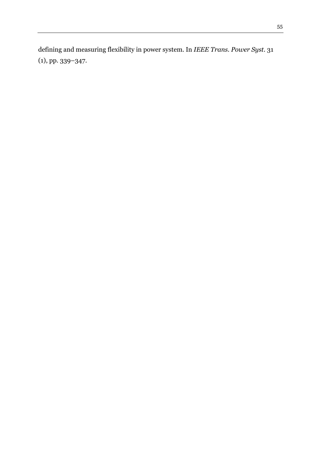defining and measuring flexibility in power system. In *IEEE Trans. Power Syst.* 31 (1), pp. 339–347.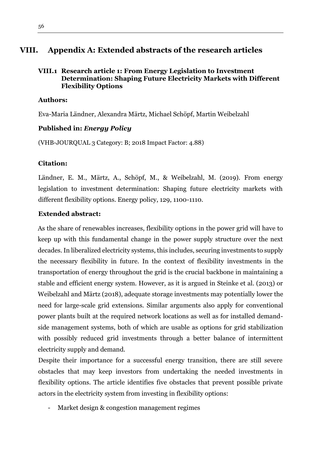# <span id="page-55-0"></span>**VIII. Appendix A: Extended abstracts of the research articles**

## <span id="page-55-1"></span>**VIII.1 Research article 1: From Energy Legislation to Investment Determination: Shaping Future Electricity Markets with Different Flexibility Options**

## **Authors:**

Eva-Maria Ländner, Alexandra Märtz, Michael Schöpf, Martin Weibelzahl

## **Published in:** *Energy Policy*

(VHB-JOURQUAL 3 Category: B; 2018 Impact Factor: 4.88)

## **Citation:**

Ländner, E. M., Märtz, A., Schöpf, M., & Weibelzahl, M. (2019). From energy legislation to investment determination: Shaping future electricity markets with different flexibility options. Energy policy, 129, 1100-1110.

## **Extended abstract:**

As the share of renewables increases, flexibility options in the power grid will have to keep up with this fundamental change in the power supply structure over the next decades. In liberalized electricity systems, this includes, securing investments to supply the necessary flexibility in future. In the context of flexibility investments in the transportation of energy throughout the grid is the crucial backbone in maintaining a stable and efficient energy system. However, as it is argued in Steinke et al. (2013) or Weibelzahl and Märtz (2018), adequate storage investments may potentially lower the need for large-scale grid extensions. Similar arguments also apply for conventional power plants built at the required network locations as well as for installed demandside management systems, both of which are usable as options for grid stabilization with possibly reduced grid investments through a better balance of intermittent electricity supply and demand.

Despite their importance for a successful energy transition, there are still severe obstacles that may keep investors from undertaking the needed investments in flexibility options. The article identifies five obstacles that prevent possible private actors in the electricity system from investing in flexibility options:

- Market design & congestion management regimes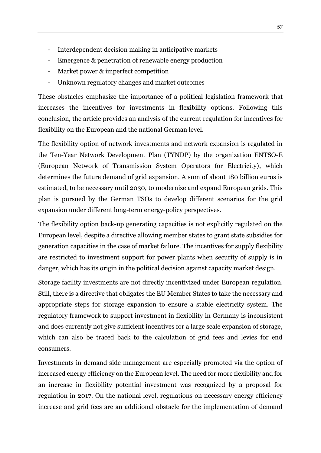- Interdependent decision making in anticipative markets
- Emergence & penetration of renewable energy production
- Market power & imperfect competition
- Unknown regulatory changes and market outcomes

These obstacles emphasize the importance of a political legislation framework that increases the incentives for investments in flexibility options. Following this conclusion, the article provides an analysis of the current regulation for incentives for flexibility on the European and the national German level.

The flexibility option of network investments and network expansion is regulated in the Ten-Year Network Development Plan (TYNDP) by the organization ENTSO-E (European Network of Transmission System Operators for Electricity), which determines the future demand of grid expansion. A sum of about 180 billion euros is estimated, to be necessary until 2030, to modernize and expand European grids. This plan is pursued by the German TSOs to develop different scenarios for the grid expansion under different long-term energy-policy perspectives.

The flexibility option back-up generating capacities is not explicitly regulated on the European level, despite a directive allowing member states to grant state subsidies for generation capacities in the case of market failure. The incentives for supply flexibility are restricted to investment support for power plants when security of supply is in danger, which has its origin in the political decision against capacity market design.

Storage facility investments are not directly incentivized under European regulation. Still, there is a directive that obligates the EU Member States to take the necessary and appropriate steps for storage expansion to ensure a stable electricity system. The regulatory framework to support investment in flexibility in Germany is inconsistent and does currently not give sufficient incentives for a large scale expansion of storage, which can also be traced back to the calculation of grid fees and levies for end consumers.

Investments in demand side management are especially promoted via the option of increased energy efficiency on the European level. The need for more flexibility and for an increase in flexibility potential investment was recognized by a proposal for regulation in 2017. On the national level, regulations on necessary energy efficiency increase and grid fees are an additional obstacle for the implementation of demand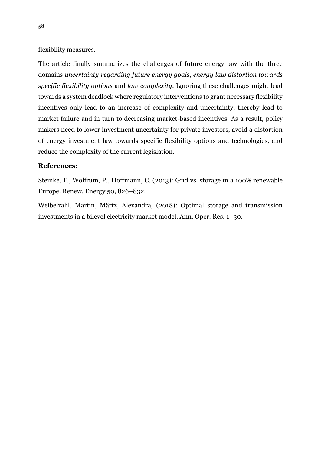flexibility measures.

The article finally summarizes the challenges of future energy law with the three domains *uncertainty regarding future energy goals*, *energy law distortion towards specific flexibility options* and *law complexity*. Ignoring these challenges might lead towards a system deadlock where regulatory interventions to grant necessary flexibility incentives only lead to an increase of complexity and uncertainty, thereby lead to market failure and in turn to decreasing market-based incentives. As a result, policy makers need to lower investment uncertainty for private investors, avoid a distortion of energy investment law towards specific flexibility options and technologies, and reduce the complexity of the current legislation.

## **References:**

Steinke, F., Wolfrum, P., Hoffmann, C. (2013): Grid vs. storage in a 100% renewable Europe. Renew. Energy 50, 826–832.

Weibelzahl, Martin, Märtz, Alexandra, (2018): Optimal storage and transmission investments in a bilevel electricity market model. Ann. Oper. Res. 1–30.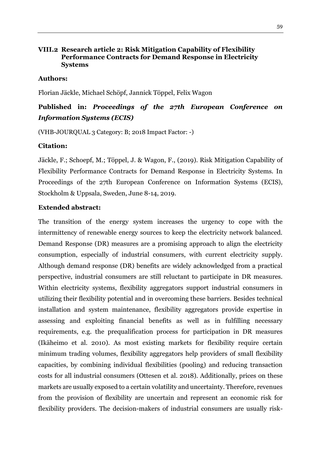## <span id="page-58-0"></span>**VIII.2 Research article 2: Risk Mitigation Capability of Flexibility Performance Contracts for Demand Response in Electricity Systems**

## **Authors:**

Florian Jäckle, Michael Schöpf, Jannick Töppel, Felix Wagon

# **Published in:** *Proceedings of the 27th European Conference on Information Systems (ECIS)*

(VHB-JOURQUAL 3 Category: B; 2018 Impact Factor: -)

#### **Citation:**

Jäckle, F.; Schoepf, M.; Töppel, J. & Wagon, F., (2019). Risk Mitigation Capability of Flexibility Performance Contracts for Demand Response in Electricity Systems. In Proceedings of the 27th European Conference on Information Systems (ECIS), Stockholm & Uppsala, Sweden, June 8-14, 2019.

## **Extended abstract:**

The transition of the energy system increases the urgency to cope with the intermittency of renewable energy sources to keep the electricity network balanced. Demand Response (DR) measures are a promising approach to align the electricity consumption, especially of industrial consumers, with current electricity supply. Although demand response (DR) benefits are widely acknowledged from a practical perspective, industrial consumers are still reluctant to participate in DR measures. Within electricity systems, flexibility aggregators support industrial consumers in utilizing their flexibility potential and in overcoming these barriers. Besides technical installation and system maintenance, flexibility aggregators provide expertise in assessing and exploiting financial benefits as well as in fulfilling necessary requirements, e.g. the prequalification process for participation in DR measures (Ikäheimo et al. 2010). As most existing markets for flexibility require certain minimum trading volumes, flexibility aggregators help providers of small flexibility capacities, by combining individual flexibilities (pooling) and reducing transaction costs for all industrial consumers (Ottesen et al. 2018). Additionally, prices on these markets are usually exposed to a certain volatility and uncertainty. Therefore, revenues from the provision of flexibility are uncertain and represent an economic risk for flexibility providers. The decision-makers of industrial consumers are usually risk-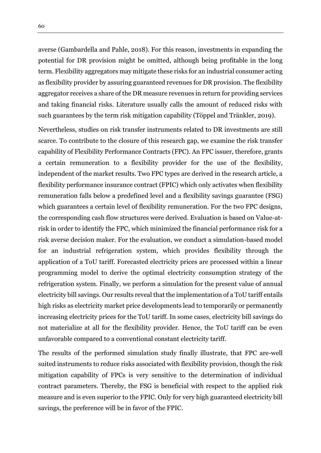averse (Gambardella and Pahle, 2018). For this reason, investments in expanding the potential for DR provision might be omitted, although being profitable in the long term. Flexibility aggregators may mitigate these risks for an industrial consumer acting as flexibility provider by assuring guaranteed revenues for DR provision. The flexibility aggregator receives a share of the DR measure revenues in return for providing services and taking financial risks. Literature usually calls the amount of reduced risks with such guarantees by the term risk mitigation capability (Töppel and Tränkler, 2019).

Nevertheless, studies on risk transfer instruments related to DR investments are still scarce. To contribute to the closure of this research gap, we examine the risk transfer capability of Flexibility Performance Contracts (FPC). An FPC issuer, therefore, grants a certain remuneration to a flexibility provider for the use of the flexibility, independent of the market results. Two FPC types are derived in the research article, a flexibility performance insurance contract (FPIC) which only activates when flexibility remuneration falls below a predefined level and a flexibility savings guarantee (FSG) which guarantees a certain level of flexibility remuneration. For the two FPC designs, the corresponding cash flow structures were derived. Evaluation is based on Value-atrisk in order to identify the FPC, which minimized the financial performance risk for a risk averse decision maker. For the evaluation, we conduct a simulation-based model for an industrial refrigeration system, which provides flexibility through the application of a ToU tariff. Forecasted electricity prices are processed within a linear programming model to derive the optimal electricity consumption strategy of the refrigeration system. Finally, we perform a simulation for the present value of annual electricity bill savings. Our results reveal that the implementation of a ToU tariff entails high risks as electricity market price developments lead to temporarily or permanently increasing electricity prices for the ToU tariff. In some cases, electricity bill savings do not materialize at all for the flexibility provider. Hence, the ToU tariff can be even unfavorable compared to a conventional constant electricity tariff.

The results of the performed simulation study finally illustrate, that FPC are-well suited instruments to reduce risks associated with flexibility provision, though the risk mitigation capability of FPCs is very sensitive to the determination of individual contract parameters. Thereby, the FSG is beneficial with respect to the applied risk measure and is even superior to the FPIC. Only for very high guaranteed electricity bill savings, the preference will be in favor of the FPIC.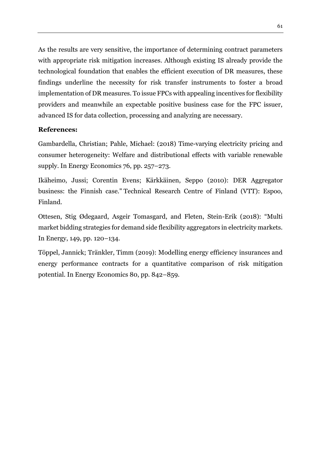As the results are very sensitive, the importance of determining contract parameters with appropriate risk mitigation increases. Although existing IS already provide the technological foundation that enables the efficient execution of DR measures, these findings underline the necessity for risk transfer instruments to foster a broad implementation of DR measures. To issue FPCs with appealing incentives for flexibility providers and meanwhile an expectable positive business case for the FPC issuer, advanced IS for data collection, processing and analyzing are necessary.

## **References:**

Gambardella, Christian; Pahle, Michael: (2018) Time-varying electricity pricing and consumer heterogeneity: Welfare and distributional effects with variable renewable supply. In Energy Economics 76, pp. 257–273.

Ikäheimo, Jussi; Corentin Evens; Kärkkäinen, Seppo (2010): DER Aggregator business: the Finnish case." Technical Research Centre of Finland (VTT): Espoo, Finland.

Ottesen, Stig Ødegaard, Asgeir Tomasgard, and Fleten, Stein-Erik (2018): "Multi market bidding strategies for demand side flexibility aggregators in electricity markets. In Energy, 149, pp. 120–134.

Töppel, Jannick; Tränkler, Timm (2019): Modelling energy efficiency insurances and energy performance contracts for a quantitative comparison of risk mitigation potential. In Energy Economics 80, pp. 842–859.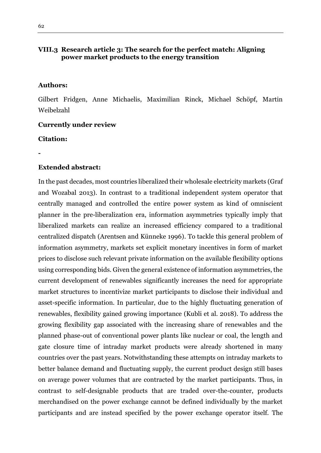## <span id="page-61-0"></span>**VIII.3 Research article 3: The search for the perfect match: Aligning power market products to the energy transition**

#### **Authors:**

Gilbert Fridgen, Anne Michaelis, Maximilian Rinck, Michael Schöpf, Martin Weibelzahl

#### **Currently under review**

#### **Citation:**

**-**

#### **Extended abstract:**

In the past decades, most countries liberalized their wholesale electricity markets (Graf and Wozabal 2013). In contrast to a traditional independent system operator that centrally managed and controlled the entire power system as kind of omniscient planner in the pre-liberalization era, information asymmetries typically imply that liberalized markets can realize an increased efficiency compared to a traditional centralized dispatch (Arentsen and Künneke 1996). To tackle this general problem of information asymmetry, markets set explicit monetary incentives in form of market prices to disclose such relevant private information on the available flexibility options using corresponding bids. Given the general existence of information asymmetries, the current development of renewables significantly increases the need for appropriate market structures to incentivize market participants to disclose their individual and asset-specific information. In particular, due to the highly fluctuating generation of renewables, flexibility gained growing importance (Kubli et al. 2018). To address the growing flexibility gap associated with the increasing share of renewables and the planned phase-out of conventional power plants like nuclear or coal, the length and gate closure time of intraday market products were already shortened in many countries over the past years. Notwithstanding these attempts on intraday markets to better balance demand and fluctuating supply, the current product design still bases on average power volumes that are contracted by the market participants. Thus, in contrast to self-designable products that are traded over-the-counter, products merchandised on the power exchange cannot be defined individually by the market participants and are instead specified by the power exchange operator itself. The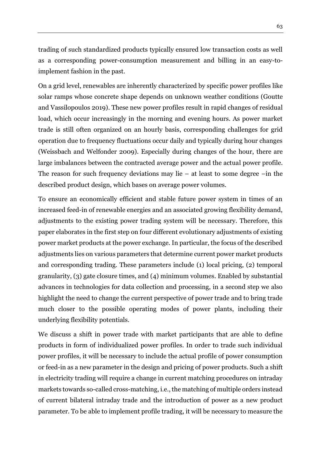trading of such standardized products typically ensured low transaction costs as well as a corresponding power-consumption measurement and billing in an easy-toimplement fashion in the past.

On a grid level, renewables are inherently characterized by specific power profiles like solar ramps whose concrete shape depends on unknown weather conditions (Goutte and Vassilopoulos 2019). These new power profiles result in rapid changes of residual load, which occur increasingly in the morning and evening hours. As power market trade is still often organized on an hourly basis, corresponding challenges for grid operation due to frequency fluctuations occur daily and typically during hour changes (Weissbach and Welfonder 2009). Especially during changes of the hour, there are large imbalances between the contracted average power and the actual power profile. The reason for such frequency deviations may lie  $-$  at least to some degree  $-\text{in}$  the described product design, which bases on average power volumes.

To ensure an economically efficient and stable future power system in times of an increased feed-in of renewable energies and an associated growing flexibility demand, adjustments to the existing power trading system will be necessary. Therefore, this paper elaborates in the first step on four different evolutionary adjustments of existing power market products at the power exchange. In particular, the focus of the described adjustments lies on various parameters that determine current power market products and corresponding trading. These parameters include (1) local pricing, (2) temporal granularity, (3) gate closure times, and (4) minimum volumes. Enabled by substantial advances in technologies for data collection and processing, in a second step we also highlight the need to change the current perspective of power trade and to bring trade much closer to the possible operating modes of power plants, including their underlying flexibility potentials.

We discuss a shift in power trade with market participants that are able to define products in form of individualized power profiles. In order to trade such individual power profiles, it will be necessary to include the actual profile of power consumption or feed-in as a new parameter in the design and pricing of power products. Such a shift in electricity trading will require a change in current matching procedures on intraday markets towards so-called cross-matching, i.e., the matching of multiple orders instead of current bilateral intraday trade and the introduction of power as a new product parameter. To be able to implement profile trading, it will be necessary to measure the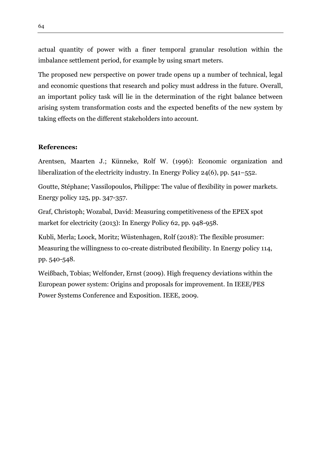actual quantity of power with a finer temporal granular resolution within the imbalance settlement period, for example by using smart meters.

The proposed new perspective on power trade opens up a number of technical, legal and economic questions that research and policy must address in the future. Overall, an important policy task will lie in the determination of the right balance between arising system transformation costs and the expected benefits of the new system by taking effects on the different stakeholders into account.

#### **References:**

Arentsen, Maarten J.; Künneke, Rolf W. (1996): Economic organization and liberalization of the electricity industry. In Energy Policy 24(6), pp. 541–552.

Goutte, Stéphane; Vassilopoulos, Philippe: The value of flexibility in power markets. Energy policy 125, pp. 347-357.

Graf, Christoph; Wozabal, David: Measuring competitiveness of the EPEX spot market for electricity (2013): In Energy Policy 62, pp. 948-958.

Kubli, Merla; Loock, Moritz; Wüstenhagen, Rolf (2018): The flexible prosumer: Measuring the willingness to co-create distributed flexibility. In Energy policy 114, pp. 540-548.

Weißbach, Tobias; Welfonder, Ernst (2009). High frequency deviations within the European power system: Origins and proposals for improvement. In IEEE/PES Power Systems Conference and Exposition. IEEE, 2009.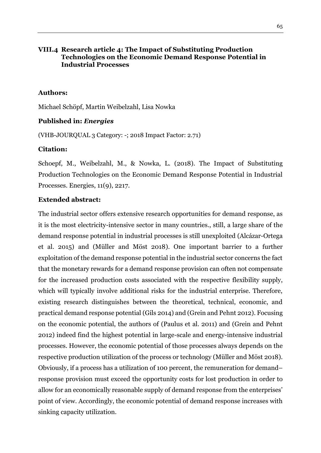## <span id="page-64-0"></span>**VIII.4 Research article 4: The Impact of Substituting Production Technologies on the Economic Demand Response Potential in Industrial Processes**

#### **Authors:**

Michael Schöpf, Martin Weibelzahl, Lisa Nowka

#### **Published in:** *Energies*

(VHB-JOURQUAL 3 Category: -; 2018 Impact Factor: 2.71)

#### **Citation:**

Schoepf, M., Weibelzahl, M., & Nowka, L. (2018). The Impact of Substituting Production Technologies on the Economic Demand Response Potential in Industrial Processes. Energies, 11(9), 2217.

#### **Extended abstract:**

The industrial sector offers extensive research opportunities for demand response, as it is the most electricity-intensive sector in many countries., still, a large share of the demand response potential in industrial processes is still unexploited (Alcázar-Ortega et al. 2015) and (Müller and Möst 2018). One important barrier to a further exploitation of the demand response potential in the industrial sector concerns the fact that the monetary rewards for a demand response provision can often not compensate for the increased production costs associated with the respective flexibility supply, which will typically involve additional risks for the industrial enterprise. Therefore, existing research distinguishes between the theoretical, technical, economic, and practical demand response potential (Gils 2014) and (Grein and Pehnt 2012). Focusing on the economic potential, the authors of (Paulus et al. 2011) and (Grein and Pehnt 2012) indeed find the highest potential in large-scale and energy-intensive industrial processes. However, the economic potential of those processes always depends on the respective production utilization of the process or technology (Müller and Möst 2018). Obviously, if a process has a utilization of 100 percent, the remuneration for demand– response provision must exceed the opportunity costs for lost production in order to allow for an economically reasonable supply of demand response from the enterprises' point of view. Accordingly, the economic potential of demand response increases with sinking capacity utilization.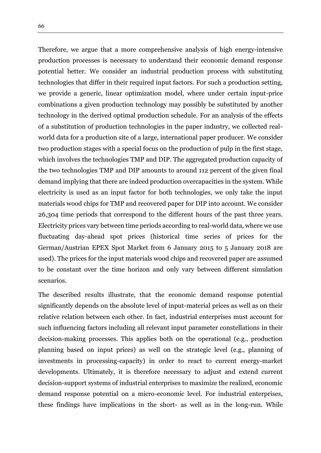Therefore, we argue that a more comprehensive analysis of high energy-intensive production processes is necessary to understand their economic demand response potential better. We consider an industrial production process with substituting technologies that differ in their required input factors. For such a production setting, we provide a generic, linear optimization model, where under certain input-price combinations a given production technology may possibly be substituted by another technology in the derived optimal production schedule. For an analysis of the effects of a substitution of production technologies in the paper industry, we collected realworld data for a production site of a large, international paper producer. We consider two production stages with a special focus on the production of pulp in the first stage, which involves the technologies TMP and DIP. The aggregated production capacity of the two technologies TMP and DIP amounts to around 112 percent of the given final demand implying that there are indeed production overcapacities in the system. While electricity is used as an input factor for both technologies, we only take the input materials wood chips for TMP and recovered paper for DIP into account. We consider 26,304 time periods that correspond to the different hours of the past three years. Electricity prices vary between time periods according to real-world data, where we use fluctuating day-ahead spot prices (historical time series of prices for the German/Austrian EPEX Spot Market from 6 January 2015 to 5 January 2018 are used). The prices for the input materials wood chips and recovered paper are assumed to be constant over the time horizon and only vary between different simulation scenarios.

The described results illustrate, that the economic demand response potential significantly depends on the absolute level of input-material prices as well as on their relative relation between each other. In fact, industrial enterprises must account for such influencing factors including all relevant input parameter constellations in their decision-making processes. This applies both on the operational (e.g., production planning based on input prices) as well on the strategic level (e.g., planning of investments in processing-capacity) in order to react to current energy-market developments. Ultimately, it is therefore necessary to adjust and extend current decision-support systems of industrial enterprises to maximize the realized, economic demand response potential on a micro-economic level. For industrial enterprises, these findings have implications in the short- as well as in the long-run. While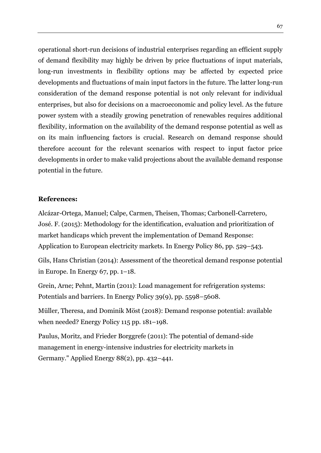operational short-run decisions of industrial enterprises regarding an efficient supply of demand flexibility may highly be driven by price fluctuations of input materials, long-run investments in flexibility options may be affected by expected price developments and fluctuations of main input factors in the future. The latter long-run consideration of the demand response potential is not only relevant for individual enterprises, but also for decisions on a macroeconomic and policy level. As the future power system with a steadily growing penetration of renewables requires additional flexibility, information on the availability of the demand response potential as well as on its main influencing factors is crucial. Research on demand response should therefore account for the relevant scenarios with respect to input factor price developments in order to make valid projections about the available demand response potential in the future.

#### **References:**

Alcázar-Ortega, Manuel; Calpe, Carmen, Theisen, Thomas; Carbonell-Carretero, José. F. (2015): Methodology for the identification, evaluation and prioritization of market handicaps which prevent the implementation of Demand Response: Application to European electricity markets. In Energy Policy 86, pp. 529–543.

Gils, Hans Christian (2014): Assessment of the theoretical demand response potential in Europe. In Energy 67, pp. 1–18.

Grein, Arne; Pehnt, Martin (2011): Load management for refrigeration systems: Potentials and barriers. In Energy Policy 39(9), pp. 5598–5608.

Müller, Theresa, and Dominik Möst (2018): Demand response potential: available when needed? Energy Policy 115 pp. 181–198.

Paulus, Moritz, and Frieder Borggrefe (2011): The potential of demand-side management in energy-intensive industries for electricity markets in Germany." Applied Energy 88(2), pp. 432–441.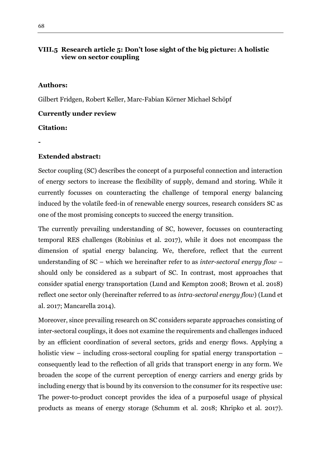## <span id="page-67-0"></span>**VIII.5 Research article 5: Don't lose sight of the big picture: A holistic view on sector coupling**

## **Authors:**

Gilbert Fridgen, Robert Keller, Marc-Fabian Körner Michael Schöpf

## **Currently under review**

## **Citation:**

**-**

## **Extended abstract:**

Sector coupling (SC) describes the concept of a purposeful connection and interaction of energy sectors to increase the flexibility of supply, demand and storing. While it currently focusses on counteracting the challenge of temporal energy balancing induced by the volatile feed-in of renewable energy sources, research considers SC as one of the most promising concepts to succeed the energy transition.

The currently prevailing understanding of SC, however, focusses on counteracting temporal RES challenges (Robinius et al. 2017), while it does not encompass the dimension of spatial energy balancing. We, therefore, reflect that the current understanding of SC – which we hereinafter refer to as *inter-sectoral energy flow* – should only be considered as a subpart of SC. In contrast, most approaches that consider spatial energy transportation (Lund and Kempton 2008; Brown et al. 2018) reflect one sector only (hereinafter referred to as *intra-sectoral energy flow*) (Lund et al. 2017; Mancarella 2014).

Moreover, since prevailing research on SC considers separate approaches consisting of inter-sectoral couplings, it does not examine the requirements and challenges induced by an efficient coordination of several sectors, grids and energy flows. Applying a holistic view – including cross-sectoral coupling for spatial energy transportation – consequently lead to the reflection of all grids that transport energy in any form. We broaden the scope of the current perception of energy carriers and energy grids by including energy that is bound by its conversion to the consumer for its respective use: The power-to-product concept provides the idea of a purposeful usage of physical products as means of energy storage (Schumm et al. 2018; Khripko et al. 2017).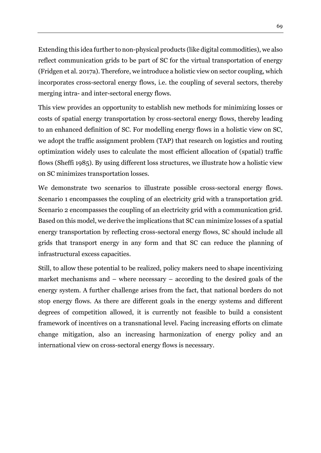Extending this idea further to non-physical products (like digital commodities), we also reflect communication grids to be part of SC for the virtual transportation of energy (Fridgen et al. 2017a). Therefore, we introduce a holistic view on sector coupling, which incorporates cross-sectoral energy flows, i.e. the coupling of several sectors, thereby merging intra- and inter-sectoral energy flows.

This view provides an opportunity to establish new methods for minimizing losses or costs of spatial energy transportation by cross-sectoral energy flows, thereby leading to an enhanced definition of SC. For modelling energy flows in a holistic view on SC, we adopt the traffic assignment problem (TAP) that research on logistics and routing optimization widely uses to calculate the most efficient allocation of (spatial) traffic flows (Sheffi 1985). By using different loss structures, we illustrate how a holistic view on SC minimizes transportation losses.

We demonstrate two scenarios to illustrate possible cross-sectoral energy flows. Scenario 1 encompasses the coupling of an electricity grid with a transportation grid. Scenario 2 encompasses the coupling of an electricity grid with a communication grid. Based on this model, we derive the implications that SC can minimize losses of a spatial energy transportation by reflecting cross-sectoral energy flows, SC should include all grids that transport energy in any form and that SC can reduce the planning of infrastructural excess capacities.

Still, to allow these potential to be realized, policy makers need to shape incentivizing market mechanisms and – where necessary – according to the desired goals of the energy system. A further challenge arises from the fact, that national borders do not stop energy flows. As there are different goals in the energy systems and different degrees of competition allowed, it is currently not feasible to build a consistent framework of incentives on a transnational level. Facing increasing efforts on climate change mitigation, also an increasing harmonization of energy policy and an international view on cross-sectoral energy flows is necessary.